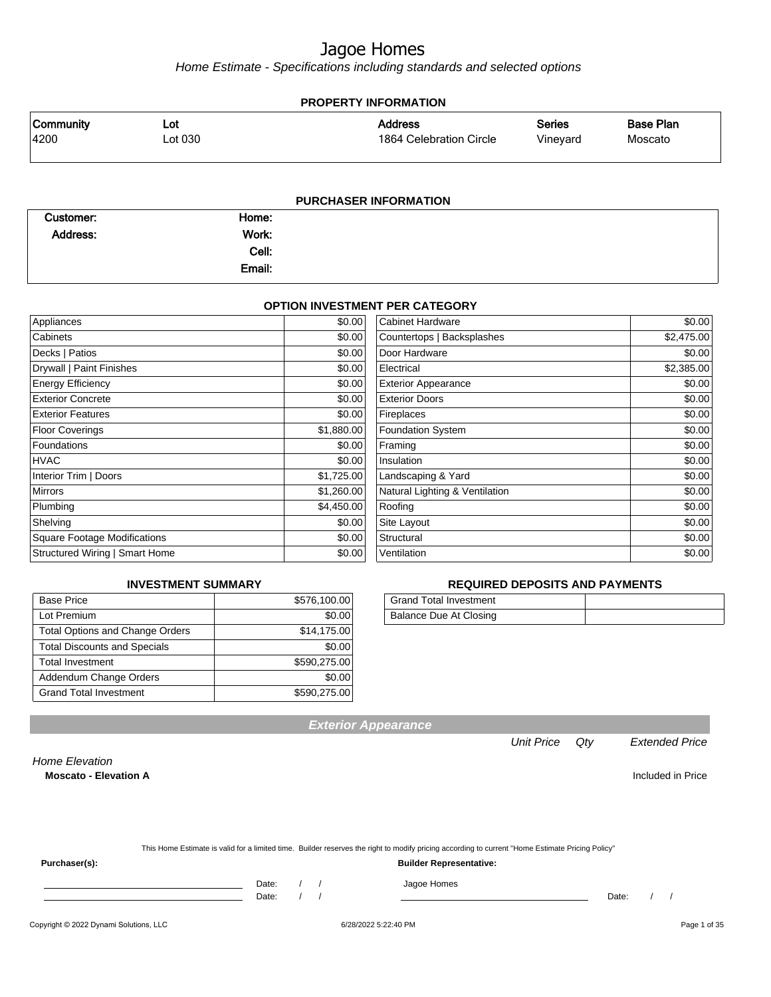Home Estimate - Specifications including standards and selected options

#### **PROPERTY INFORMATION** Vineyard Series 1864 Celebration Circle Address 4200 Lot 030 Community Lot Moscato Base Plan

|           |        | <b>PURCHASER INFORMATION</b> |
|-----------|--------|------------------------------|
| Customer: | Home:  |                              |
| Address:  | Work:  |                              |
|           | Cell:  |                              |
|           | Email: |                              |

#### **OPTION INVESTMENT PER CATEGORY**

| Appliances                          | \$0.00     | <b>Cabinet Hardware</b>        | \$0.00     |
|-------------------------------------|------------|--------------------------------|------------|
| Cabinets                            | \$0.00     | Countertops   Backsplashes     | \$2,475.00 |
| Decks   Patios                      | \$0.00     | Door Hardware                  | \$0.00     |
| Drywall   Paint Finishes            | \$0.00     | Electrical                     | \$2,385.00 |
| <b>Energy Efficiency</b>            | \$0.00     | <b>Exterior Appearance</b>     | \$0.00     |
| <b>Exterior Concrete</b>            | \$0.00     | <b>Exterior Doors</b>          | \$0.00     |
| <b>Exterior Features</b>            | \$0.00     | Fireplaces                     | \$0.00     |
| <b>Floor Coverings</b>              | \$1,880.00 | <b>Foundation System</b>       | \$0.00     |
| Foundations                         | \$0.00     | Framing                        | \$0.00     |
| <b>HVAC</b>                         | \$0.00     | Insulation                     | \$0.00     |
| Interior Trim   Doors               | \$1,725.00 | Landscaping & Yard             | \$0.00     |
| <b>Mirrors</b>                      | \$1,260.00 | Natural Lighting & Ventilation | \$0.00     |
| Plumbing                            | \$4,450.00 | Roofing                        | \$0.00     |
| Shelving                            | \$0.00     | Site Layout                    | \$0.00     |
| <b>Square Footage Modifications</b> | \$0.00     | Structural                     | \$0.00     |
| Structured Wiring   Smart Home      | \$0.00     | Ventilation                    | \$0.00     |

#### **INVESTMENT SUMMARY**

| <b>Base Price</b>                      | \$576,100.00 |
|----------------------------------------|--------------|
| Lot Premium                            | \$0.00       |
| <b>Total Options and Change Orders</b> | \$14,175.00  |
| <b>Total Discounts and Specials</b>    | \$0.00       |
| <b>Total Investment</b>                | \$590,275.00 |
| Addendum Change Orders                 | \$0.00       |
| <b>Grand Total Investment</b>          | \$590,275.00 |

#### **REQUIRED DEPOSITS AND PAYMENTS**

| <b>Grand Total Investment</b> |  |
|-------------------------------|--|
| Balance Due At Closing        |  |

**Exterior Appearance**

Unit Price Qty Extended Price

Home Elevation

**Moscato - Elevation A** Included in Price

**Purchaser(s): Builder Representative:**

Date: / / Jagoe Homes

Date: / / Date: / /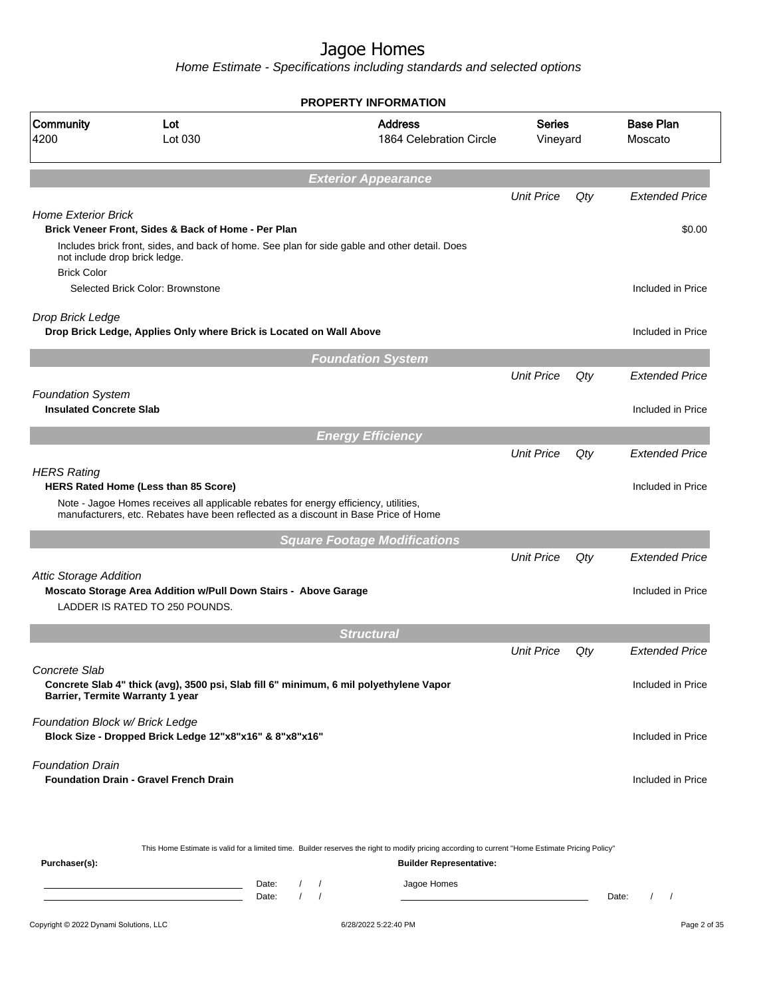Home Estimate - Specifications including standards and selected options

|                                 |                                                                                                                                                                                       |                              | <b>PROPERTY INFORMATION</b>               |                    |     |                                               |
|---------------------------------|---------------------------------------------------------------------------------------------------------------------------------------------------------------------------------------|------------------------------|-------------------------------------------|--------------------|-----|-----------------------------------------------|
| Community<br>4200               | Lot<br>Lot 030                                                                                                                                                                        |                              | <b>Address</b><br>1864 Celebration Circle | Series<br>Vineyard |     | <b>Base Plan</b><br>Moscato                   |
|                                 |                                                                                                                                                                                       |                              | <b>Exterior Appearance</b>                |                    |     |                                               |
|                                 |                                                                                                                                                                                       |                              |                                           | <b>Unit Price</b>  | Qty | <b>Extended Price</b>                         |
| <b>Home Exterior Brick</b>      | Brick Veneer Front, Sides & Back of Home - Per Plan<br>Includes brick front, sides, and back of home. See plan for side gable and other detail. Does<br>not include drop brick ledge. |                              |                                           |                    |     | \$0.00                                        |
| <b>Brick Color</b>              | Selected Brick Color: Brownstone                                                                                                                                                      |                              |                                           |                    |     | Included in Price                             |
| Drop Brick Ledge                | Drop Brick Ledge, Applies Only where Brick is Located on Wall Above                                                                                                                   |                              |                                           |                    |     | Included in Price                             |
|                                 |                                                                                                                                                                                       |                              | <b>Foundation System</b>                  |                    |     |                                               |
| <b>Foundation System</b>        |                                                                                                                                                                                       |                              |                                           | <b>Unit Price</b>  | Qty | <b>Extended Price</b>                         |
| <b>Insulated Concrete Slab</b>  |                                                                                                                                                                                       |                              |                                           |                    |     | Included in Price                             |
|                                 |                                                                                                                                                                                       |                              | <b>Energy Efficiency</b>                  |                    |     |                                               |
|                                 |                                                                                                                                                                                       |                              |                                           | <b>Unit Price</b>  | Qty | <b>Extended Price</b>                         |
| <b>HERS Rating</b>              | <b>HERS Rated Home (Less than 85 Score)</b>                                                                                                                                           |                              |                                           |                    |     | Included in Price                             |
|                                 | Note - Jagoe Homes receives all applicable rebates for energy efficiency, utilities,<br>manufacturers, etc. Rebates have been reflected as a discount in Base Price of Home           |                              |                                           |                    |     |                                               |
|                                 |                                                                                                                                                                                       |                              | <b>Square Footage Modifications</b>       |                    |     |                                               |
|                                 |                                                                                                                                                                                       |                              |                                           | <b>Unit Price</b>  | Qty | <b>Extended Price</b>                         |
| <b>Attic Storage Addition</b>   | Moscato Storage Area Addition w/Pull Down Stairs - Above Garage<br>LADDER IS RATED TO 250 POUNDS.                                                                                     |                              |                                           |                    |     | Included in Price                             |
|                                 |                                                                                                                                                                                       |                              | <b>Structural</b>                         |                    |     |                                               |
| Concrete Slab                   |                                                                                                                                                                                       |                              |                                           | <b>Unit Price</b>  | Qty | <b>Extended Price</b>                         |
|                                 | Concrete Slab 4" thick (avg), 3500 psi, Slab fill 6" minimum, 6 mil polyethylene Vapor<br>Barrier, Termite Warranty 1 year                                                            |                              |                                           |                    |     | Included in Price                             |
| Foundation Block w/ Brick Ledge | Block Size - Dropped Brick Ledge 12"x8"x16" & 8"x8"x16"                                                                                                                               |                              |                                           |                    |     | Included in Price                             |
| <b>Foundation Drain</b>         | <b>Foundation Drain - Gravel French Drain</b>                                                                                                                                         |                              |                                           |                    |     | Included in Price                             |
|                                 | This Home Estimate is valid for a limited time. Builder reserves the right to modify pricing according to current "Home Estimate Pricing Policy"                                      |                              |                                           |                    |     |                                               |
| Purchaser(s):                   |                                                                                                                                                                                       |                              | <b>Builder Representative:</b>            |                    |     |                                               |
|                                 | Date:<br>Date:                                                                                                                                                                        | $\frac{1}{2}$<br>$1 \quad 1$ | Jagoe Homes                               |                    |     | Date:<br>$\prime$<br>$\overline{\phantom{a}}$ |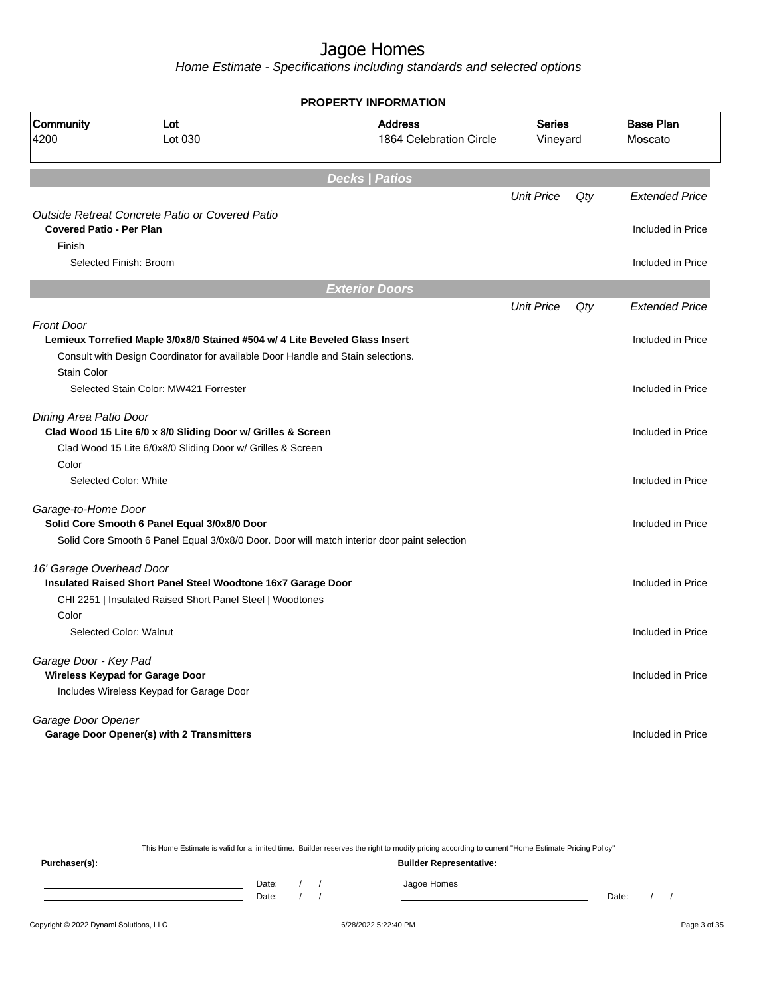Home Estimate - Specifications including standards and selected options

**Decks | Patios** Unit Price Qty Extended Price Outside Retreat Concrete Patio or Covered Patio **Covered Patio - Per Plan** Included in Price Finish Selected Finish: Broom Included in Price **Exterior Doors** Unit Price Qty Extended Price Front Door Lemieux Torrefied Maple 3/0x8/0 Stained #504 w/ 4 Lite Beveled Glass Insert **Included Included in Price** Consult with Design Coordinator for available Door Handle and Stain selections. Stain Color Selected Stain Color: MW421 Forrester Included in Price Dining Area Patio Door **Clad Wood 15 Lite 6/0 x 8/0 Sliding Door w/ Grilles & Screen** Included in Price Included in Price Clad Wood 15 Lite 6/0x8/0 Sliding Door w/ Grilles & Screen Color Selected Color: White Included in Price Included in Price Garage-to-Home Door **Solid Core Smooth 6 Panel Equal 3/0x8/0 Door Included in Price Included in Price** Solid Core Smooth 6 Panel Equal 3/0x8/0 Door. Door will match interior door paint selection 16' Garage Overhead Door **Insulated Raised Short Panel Steel Woodtone 16x7 Garage Door Included in Price 16x7 Garage Door Included in Price** CHI 2251 | Insulated Raised Short Panel Steel | Woodtones Color Selected Color: Walnut **Included in Price** Garage Door - Key Pad **Wireless Keypad for Garage Door Included in Price** Includes Wireless Keypad for Garage Door Garage Door Opener **Garage Door Opener(s) with 2 Transmitters Included in Price** Included in Price **PROPERTY INFORMATION** Vineyard Series 1864 Celebration Circle Address 4200 Lot 030 Community Lot Moscato Base Plan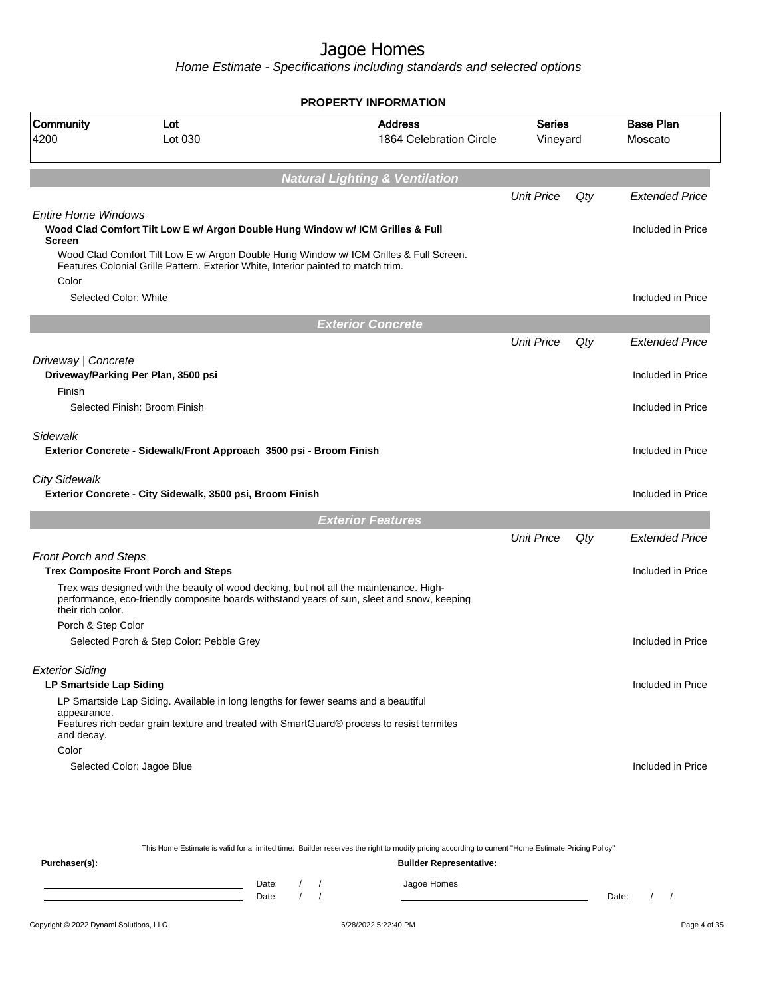Home Estimate - Specifications including standards and selected options

|                                                          |                                                                                                                                                                                                                                                               | <b>PROPERTY INFORMATION</b>                                                                |                    |     |                             |
|----------------------------------------------------------|---------------------------------------------------------------------------------------------------------------------------------------------------------------------------------------------------------------------------------------------------------------|--------------------------------------------------------------------------------------------|--------------------|-----|-----------------------------|
| Community<br>4200                                        | Lot<br>Lot 030                                                                                                                                                                                                                                                | <b>Address</b><br>1864 Celebration Circle                                                  | Series<br>Vineyard |     | <b>Base Plan</b><br>Moscato |
|                                                          |                                                                                                                                                                                                                                                               | <b>Natural Lighting &amp; Ventilation</b>                                                  |                    |     |                             |
|                                                          |                                                                                                                                                                                                                                                               |                                                                                            | <b>Unit Price</b>  | Qty | <b>Extended Price</b>       |
| <b>Entire Home Windows</b><br><b>Screen</b>              | Wood Clad Comfort Tilt Low E w/ Argon Double Hung Window w/ ICM Grilles & Full<br>Wood Clad Comfort Tilt Low E w/ Argon Double Hung Window w/ ICM Grilles & Full Screen.<br>Features Colonial Grille Pattern. Exterior White, Interior painted to match trim. |                                                                                            |                    |     | Included in Price           |
| Color<br>Selected Color: White                           |                                                                                                                                                                                                                                                               |                                                                                            |                    |     | Included in Price           |
|                                                          |                                                                                                                                                                                                                                                               |                                                                                            |                    |     |                             |
|                                                          |                                                                                                                                                                                                                                                               | <b>Exterior Concrete</b>                                                                   |                    |     |                             |
|                                                          |                                                                                                                                                                                                                                                               |                                                                                            | <b>Unit Price</b>  | Qty | <b>Extended Price</b>       |
| Driveway   Concrete<br>Finish                            | Driveway/Parking Per Plan, 3500 psi                                                                                                                                                                                                                           |                                                                                            |                    |     | Included in Price           |
|                                                          | Selected Finish: Broom Finish                                                                                                                                                                                                                                 |                                                                                            |                    |     | Included in Price           |
| Sidewalk                                                 | Exterior Concrete - Sidewalk/Front Approach 3500 psi - Broom Finish                                                                                                                                                                                           |                                                                                            |                    |     | Included in Price           |
| <b>City Sidewalk</b>                                     | Exterior Concrete - City Sidewalk, 3500 psi, Broom Finish                                                                                                                                                                                                     |                                                                                            |                    |     | Included in Price           |
|                                                          |                                                                                                                                                                                                                                                               | <b>Exterior Features</b>                                                                   |                    |     |                             |
|                                                          |                                                                                                                                                                                                                                                               |                                                                                            | <b>Unit Price</b>  | Qty | <b>Extended Price</b>       |
| <b>Front Porch and Steps</b>                             |                                                                                                                                                                                                                                                               |                                                                                            |                    |     |                             |
|                                                          | <b>Trex Composite Front Porch and Steps</b>                                                                                                                                                                                                                   |                                                                                            |                    |     | Included in Price           |
| their rich color.<br>Porch & Step Color                  | Trex was designed with the beauty of wood decking, but not all the maintenance. High-                                                                                                                                                                         | performance, eco-friendly composite boards withstand years of sun, sleet and snow, keeping |                    |     |                             |
|                                                          | Selected Porch & Step Color: Pebble Grey                                                                                                                                                                                                                      |                                                                                            |                    |     | Included in Price           |
|                                                          |                                                                                                                                                                                                                                                               |                                                                                            |                    |     |                             |
| <b>Exterior Siding</b><br><b>LP Smartside Lap Siding</b> |                                                                                                                                                                                                                                                               |                                                                                            |                    |     | Included in Price           |
| appearance.<br>and decay.                                | LP Smartside Lap Siding. Available in long lengths for fewer seams and a beautiful<br>Features rich cedar grain texture and treated with SmartGuard® process to resist termites                                                                               |                                                                                            |                    |     |                             |
| Color                                                    |                                                                                                                                                                                                                                                               |                                                                                            |                    |     |                             |
|                                                          | Selected Color: Jagoe Blue                                                                                                                                                                                                                                    |                                                                                            |                    |     | Included in Price           |
|                                                          |                                                                                                                                                                                                                                                               |                                                                                            |                    |     |                             |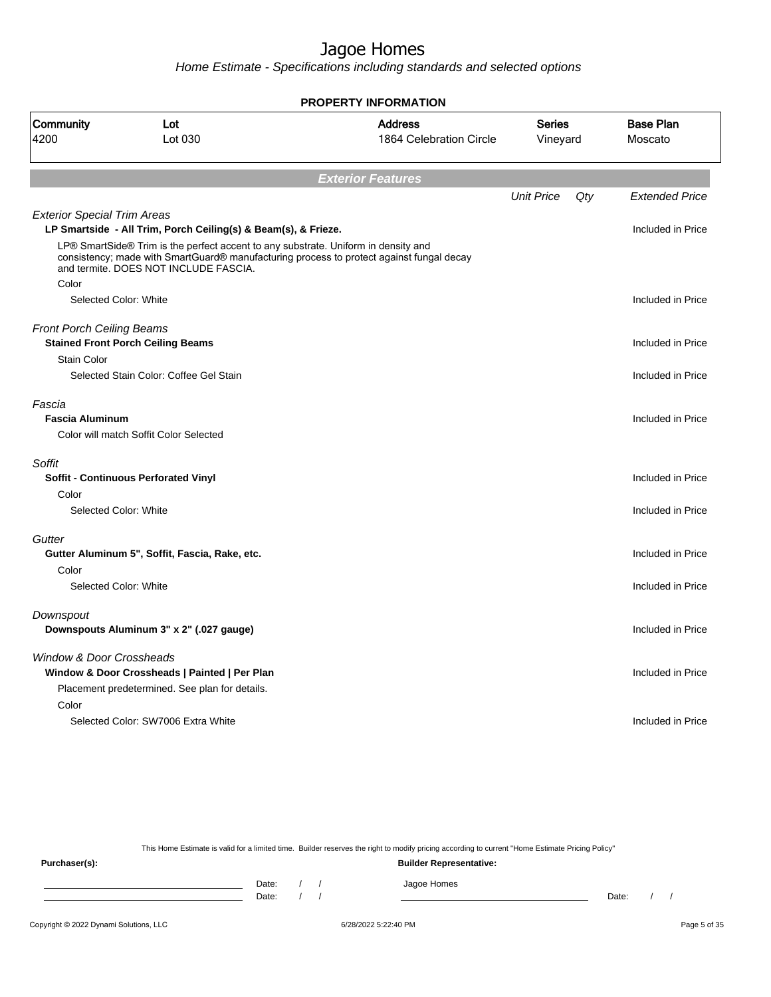Home Estimate - Specifications including standards and selected options

|                                    |                                                                                                                                                                                                                         | <b>PROPERTY INFORMATION</b>               |                           |     |                             |
|------------------------------------|-------------------------------------------------------------------------------------------------------------------------------------------------------------------------------------------------------------------------|-------------------------------------------|---------------------------|-----|-----------------------------|
| <b>Community</b><br>4200           | Lot<br>Lot 030                                                                                                                                                                                                          | <b>Address</b><br>1864 Celebration Circle | <b>Series</b><br>Vineyard |     | <b>Base Plan</b><br>Moscato |
|                                    |                                                                                                                                                                                                                         | <b>Exterior Features</b>                  |                           |     |                             |
|                                    |                                                                                                                                                                                                                         |                                           | <b>Unit Price</b>         | Qty | <b>Extended Price</b>       |
| <b>Exterior Special Trim Areas</b> | LP Smartside - All Trim, Porch Ceiling(s) & Beam(s), & Frieze.                                                                                                                                                          |                                           |                           |     | Included in Price           |
|                                    | LP® SmartSide® Trim is the perfect accent to any substrate. Uniform in density and<br>consistency; made with SmartGuard® manufacturing process to protect against fungal decay<br>and termite. DOES NOT INCLUDE FASCIA. |                                           |                           |     |                             |
| Color                              |                                                                                                                                                                                                                         |                                           |                           |     |                             |
| Selected Color: White              |                                                                                                                                                                                                                         |                                           |                           |     | Included in Price           |
| <b>Front Porch Ceiling Beams</b>   |                                                                                                                                                                                                                         |                                           |                           |     |                             |
|                                    | <b>Stained Front Porch Ceiling Beams</b>                                                                                                                                                                                |                                           |                           |     | Included in Price           |
| <b>Stain Color</b>                 |                                                                                                                                                                                                                         |                                           |                           |     |                             |
|                                    | Selected Stain Color: Coffee Gel Stain                                                                                                                                                                                  |                                           |                           |     | Included in Price           |
| Fascia                             |                                                                                                                                                                                                                         |                                           |                           |     |                             |
| <b>Fascia Aluminum</b>             |                                                                                                                                                                                                                         |                                           |                           |     | Included in Price           |
|                                    | Color will match Soffit Color Selected                                                                                                                                                                                  |                                           |                           |     |                             |
| Soffit                             |                                                                                                                                                                                                                         |                                           |                           |     |                             |
|                                    | <b>Soffit - Continuous Perforated Vinyl</b>                                                                                                                                                                             |                                           |                           |     | Included in Price           |
| Color                              |                                                                                                                                                                                                                         |                                           |                           |     |                             |
| Selected Color: White              |                                                                                                                                                                                                                         |                                           |                           |     | Included in Price           |
| Gutter                             |                                                                                                                                                                                                                         |                                           |                           |     |                             |
|                                    | Gutter Aluminum 5", Soffit, Fascia, Rake, etc.                                                                                                                                                                          |                                           |                           |     | Included in Price           |
| Color                              |                                                                                                                                                                                                                         |                                           |                           |     |                             |
| Selected Color: White              |                                                                                                                                                                                                                         |                                           |                           |     | Included in Price           |
| Downspout                          |                                                                                                                                                                                                                         |                                           |                           |     |                             |
|                                    | Downspouts Aluminum 3" x 2" (.027 gauge)                                                                                                                                                                                |                                           |                           |     | Included in Price           |
|                                    |                                                                                                                                                                                                                         |                                           |                           |     |                             |
| Window & Door Crossheads           | Window & Door Crossheads   Painted   Per Plan                                                                                                                                                                           |                                           |                           |     | Included in Price           |
|                                    | Placement predetermined. See plan for details.                                                                                                                                                                          |                                           |                           |     |                             |
| Color                              |                                                                                                                                                                                                                         |                                           |                           |     |                             |
|                                    | Selected Color: SW7006 Extra White                                                                                                                                                                                      |                                           |                           |     | Included in Price           |
|                                    |                                                                                                                                                                                                                         |                                           |                           |     |                             |
|                                    |                                                                                                                                                                                                                         |                                           |                           |     |                             |

This Home Estimate is valid for a limited time. Builder reserves the right to modify pricing according to current "Home Estimate Pricing Policy" **Purchaser(s): Builder Representative:** Date: / / Jagoe Homes<br>Date: / / Jagoe Homes Date: / / **Date: / / 2006** Date: / / / Date: / / / Date: / / / 2006 Date: / / / 2006 Date: / / / 2006 Date: / / / 2006 Date: / / / 2007 Date: / / / 2007 Date: / / / 2007 Date: / / / 2007 Date: / / / 2007 Date: / / / 2007 D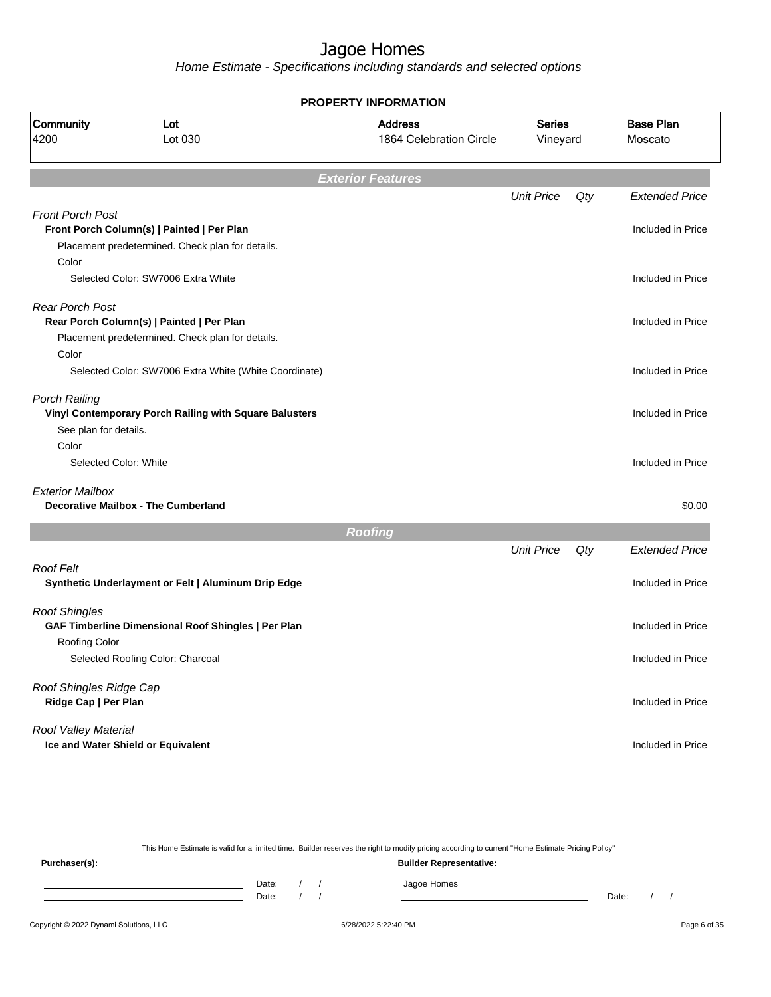Home Estimate - Specifications including standards and selected options

|                                |                                                        | <b>PROPERTY INFORMATION</b>               |                           |     |                             |
|--------------------------------|--------------------------------------------------------|-------------------------------------------|---------------------------|-----|-----------------------------|
| Community<br>4200              | Lot<br>Lot 030                                         | <b>Address</b><br>1864 Celebration Circle | <b>Series</b><br>Vineyard |     | <b>Base Plan</b><br>Moscato |
|                                |                                                        | <b>Exterior Features</b>                  |                           |     |                             |
|                                |                                                        |                                           | <b>Unit Price</b>         | Qty | <b>Extended Price</b>       |
| <b>Front Porch Post</b>        |                                                        |                                           |                           |     |                             |
|                                | Front Porch Column(s)   Painted   Per Plan             |                                           |                           |     | Included in Price           |
| Color                          | Placement predetermined. Check plan for details.       |                                           |                           |     |                             |
|                                | Selected Color: SW7006 Extra White                     |                                           |                           |     | Included in Price           |
| <b>Rear Porch Post</b>         |                                                        |                                           |                           |     |                             |
|                                | Rear Porch Column(s)   Painted   Per Plan              |                                           |                           |     | Included in Price           |
|                                | Placement predetermined. Check plan for details.       |                                           |                           |     |                             |
| Color                          |                                                        |                                           |                           |     |                             |
|                                | Selected Color: SW7006 Extra White (White Coordinate)  |                                           |                           |     | Included in Price           |
| Porch Railing                  |                                                        |                                           |                           |     |                             |
|                                | Vinyl Contemporary Porch Railing with Square Balusters |                                           |                           |     | Included in Price           |
| See plan for details.          |                                                        |                                           |                           |     |                             |
| Color<br>Selected Color: White |                                                        |                                           |                           |     | Included in Price           |
|                                |                                                        |                                           |                           |     |                             |
| <b>Exterior Mailbox</b>        |                                                        |                                           |                           |     |                             |
|                                | <b>Decorative Mailbox - The Cumberland</b>             |                                           |                           |     | \$0.00                      |
|                                |                                                        | <b>Roofing</b>                            |                           |     |                             |
|                                |                                                        |                                           | <b>Unit Price</b>         | Qty | <b>Extended Price</b>       |
| <b>Roof Felt</b>               |                                                        |                                           |                           |     |                             |
|                                | Synthetic Underlayment or Felt   Aluminum Drip Edge    |                                           |                           |     | Included in Price           |
| <b>Roof Shingles</b>           |                                                        |                                           |                           |     |                             |
|                                | GAF Timberline Dimensional Roof Shingles   Per Plan    |                                           |                           |     | Included in Price           |
| Roofing Color                  |                                                        |                                           |                           |     |                             |
|                                | Selected Roofing Color: Charcoal                       |                                           |                           |     | Included in Price           |
| Roof Shingles Ridge Cap        |                                                        |                                           |                           |     |                             |
| Ridge Cap   Per Plan           |                                                        |                                           |                           |     | Included in Price           |
| Roof Valley Material           |                                                        |                                           |                           |     |                             |
|                                | Ice and Water Shield or Equivalent                     |                                           |                           |     | Included in Price           |
|                                |                                                        |                                           |                           |     |                             |

This Home Estimate is valid for a limited time. Builder reserves the right to modify pricing according to current "Home Estimate Pricing Policy"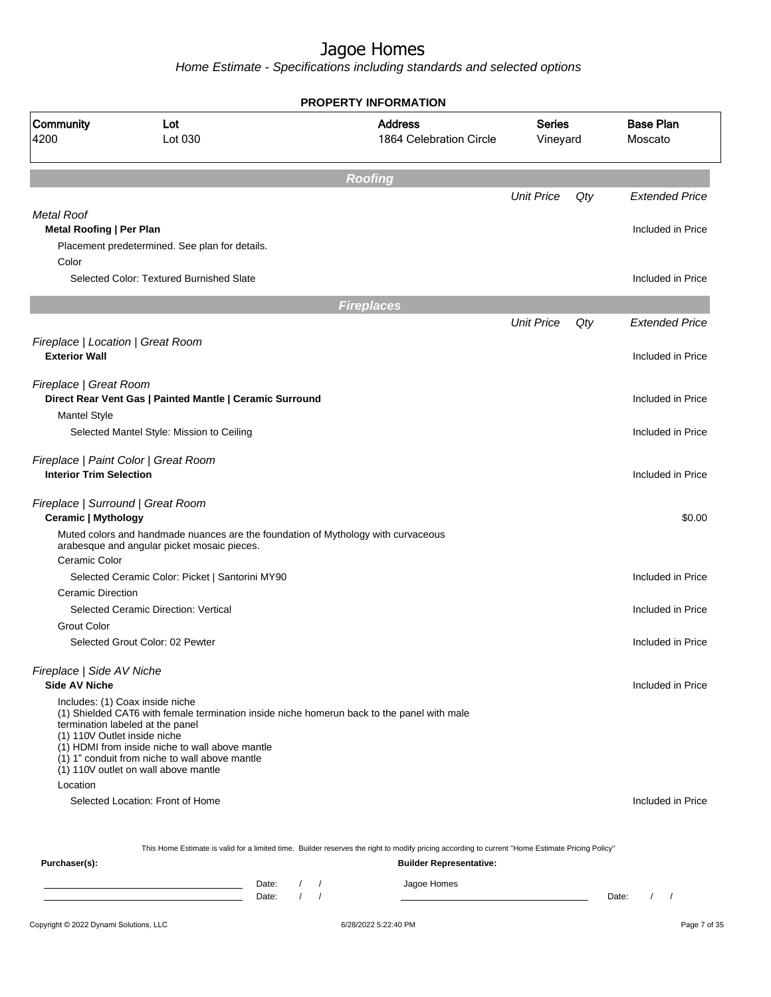Home Estimate - Specifications including standards and selected options

|                                                                 |                                                                                                                                                                                                                                                                                                                | <b>PROPERTY INFORMATION</b>               |                           |     |                             |
|-----------------------------------------------------------------|----------------------------------------------------------------------------------------------------------------------------------------------------------------------------------------------------------------------------------------------------------------------------------------------------------------|-------------------------------------------|---------------------------|-----|-----------------------------|
| Community<br>4200                                               | Lot<br>Lot 030                                                                                                                                                                                                                                                                                                 | <b>Address</b><br>1864 Celebration Circle | <b>Series</b><br>Vineyard |     | <b>Base Plan</b><br>Moscato |
|                                                                 |                                                                                                                                                                                                                                                                                                                | <b>Roofing</b>                            |                           |     |                             |
|                                                                 |                                                                                                                                                                                                                                                                                                                |                                           | <b>Unit Price</b>         | Qty | <b>Extended Price</b>       |
| Metal Roof                                                      |                                                                                                                                                                                                                                                                                                                |                                           |                           |     |                             |
| Metal Roofing   Per Plan                                        |                                                                                                                                                                                                                                                                                                                |                                           |                           |     | Included in Price           |
| Color                                                           | Placement predetermined. See plan for details.                                                                                                                                                                                                                                                                 |                                           |                           |     |                             |
|                                                                 | Selected Color: Textured Burnished Slate                                                                                                                                                                                                                                                                       |                                           |                           |     | Included in Price           |
|                                                                 |                                                                                                                                                                                                                                                                                                                |                                           |                           |     |                             |
|                                                                 |                                                                                                                                                                                                                                                                                                                | <b>Fireplaces</b>                         | <b>Unit Price</b>         | Qty | <b>Extended Price</b>       |
|                                                                 |                                                                                                                                                                                                                                                                                                                |                                           |                           |     |                             |
| Fireplace   Location   Great Room<br><b>Exterior Wall</b>       |                                                                                                                                                                                                                                                                                                                |                                           |                           |     | Included in Price           |
|                                                                 |                                                                                                                                                                                                                                                                                                                |                                           |                           |     |                             |
| Fireplace   Great Room                                          |                                                                                                                                                                                                                                                                                                                |                                           |                           |     | Included in Price           |
| <b>Mantel Style</b>                                             | Direct Rear Vent Gas   Painted Mantle   Ceramic Surround                                                                                                                                                                                                                                                       |                                           |                           |     |                             |
|                                                                 | Selected Mantel Style: Mission to Ceiling                                                                                                                                                                                                                                                                      |                                           |                           |     | Included in Price           |
|                                                                 |                                                                                                                                                                                                                                                                                                                |                                           |                           |     |                             |
| <b>Interior Trim Selection</b>                                  | Fireplace   Paint Color   Great Room                                                                                                                                                                                                                                                                           |                                           |                           |     | Included in Price           |
|                                                                 |                                                                                                                                                                                                                                                                                                                |                                           |                           |     |                             |
| Fireplace   Surround   Great Room<br><b>Ceramic   Mythology</b> |                                                                                                                                                                                                                                                                                                                |                                           |                           |     | \$0.00                      |
|                                                                 | Muted colors and handmade nuances are the foundation of Mythology with curvaceous                                                                                                                                                                                                                              |                                           |                           |     |                             |
| Ceramic Color                                                   | arabesque and angular picket mosaic pieces.                                                                                                                                                                                                                                                                    |                                           |                           |     |                             |
|                                                                 | Selected Ceramic Color: Picket   Santorini MY90                                                                                                                                                                                                                                                                |                                           |                           |     | Included in Price           |
| <b>Ceramic Direction</b>                                        |                                                                                                                                                                                                                                                                                                                |                                           |                           |     |                             |
|                                                                 | Selected Ceramic Direction: Vertical                                                                                                                                                                                                                                                                           |                                           |                           |     | Included in Price           |
| <b>Grout Color</b>                                              |                                                                                                                                                                                                                                                                                                                |                                           |                           |     |                             |
|                                                                 | Selected Grout Color: 02 Pewter                                                                                                                                                                                                                                                                                |                                           |                           |     | Included in Price           |
| Fireplace   Side AV Niche                                       |                                                                                                                                                                                                                                                                                                                |                                           |                           |     |                             |
| <b>Side AV Niche</b>                                            |                                                                                                                                                                                                                                                                                                                |                                           |                           |     | Included in Price           |
| (1) 110V Outlet inside niche                                    | Includes: (1) Coax inside niche<br>(1) Shielded CAT6 with female termination inside niche homerun back to the panel with male<br>termination labeled at the panel<br>(1) HDMI from inside niche to wall above mantle<br>(1) 1" conduit from niche to wall above mantle<br>(1) 110V outlet on wall above mantle |                                           |                           |     |                             |
| Location                                                        |                                                                                                                                                                                                                                                                                                                |                                           |                           |     |                             |
|                                                                 | Selected Location: Front of Home                                                                                                                                                                                                                                                                               |                                           |                           |     | Included in Price           |
|                                                                 |                                                                                                                                                                                                                                                                                                                |                                           |                           |     |                             |
|                                                                 | This Home Estimate is valid for a limited time. Builder reserves the right to modify pricing according to current "Home Estimate Pricing Policy"                                                                                                                                                               |                                           |                           |     |                             |
| Purchaser(s):                                                   |                                                                                                                                                                                                                                                                                                                | <b>Builder Representative:</b>            |                           |     |                             |
|                                                                 | $\frac{1}{2}$<br>Date:                                                                                                                                                                                                                                                                                         | Jagoe Homes                               |                           |     |                             |

Date: / / Date: / /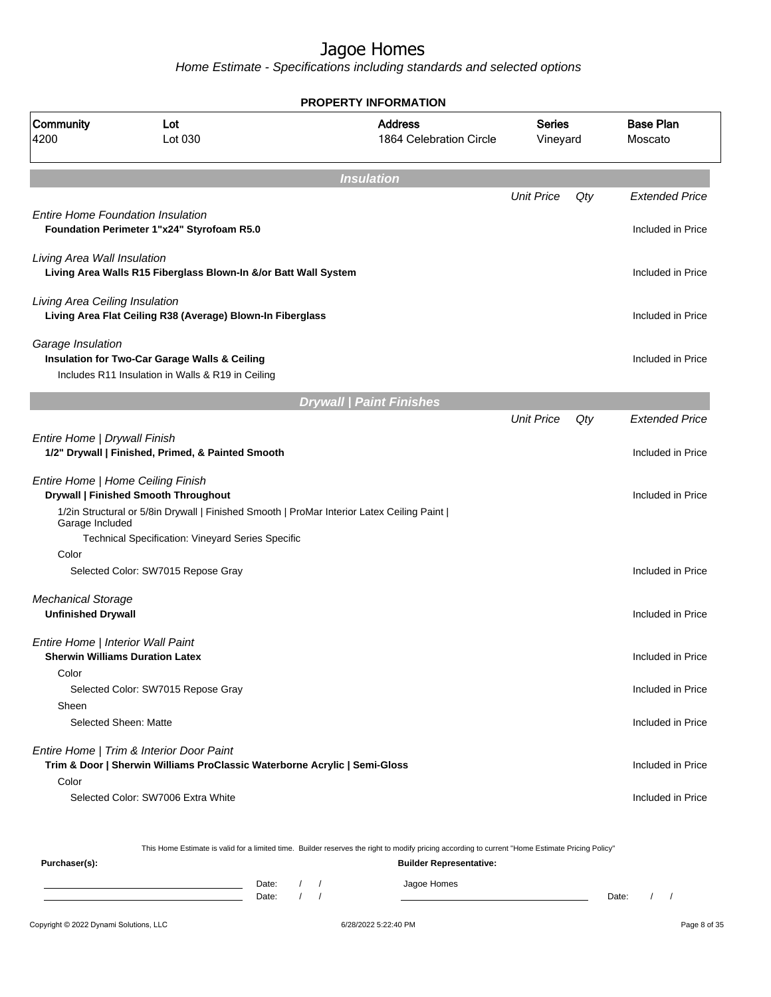Home Estimate - Specifications including standards and selected options

|                                   |                                                                                                                       | <b>PROPERTY INFORMATION</b>                                                                                                                      |                           |     |                             |
|-----------------------------------|-----------------------------------------------------------------------------------------------------------------------|--------------------------------------------------------------------------------------------------------------------------------------------------|---------------------------|-----|-----------------------------|
| Community<br>4200                 | Lot<br>Lot 030                                                                                                        | <b>Address</b><br>1864 Celebration Circle                                                                                                        | <b>Series</b><br>Vineyard |     | <b>Base Plan</b><br>Moscato |
|                                   |                                                                                                                       | <b>Insulation</b>                                                                                                                                |                           |     |                             |
|                                   |                                                                                                                       |                                                                                                                                                  | <b>Unit Price</b>         | Qty | <b>Extended Price</b>       |
|                                   | <b>Entire Home Foundation Insulation</b><br>Foundation Perimeter 1"x24" Styrofoam R5.0                                |                                                                                                                                                  |                           |     | Included in Price           |
| Living Area Wall Insulation       | Living Area Walls R15 Fiberglass Blown-In &/or Batt Wall System                                                       |                                                                                                                                                  |                           |     | Included in Price           |
| Living Area Ceiling Insulation    | Living Area Flat Ceiling R38 (Average) Blown-In Fiberglass                                                            |                                                                                                                                                  |                           |     | Included in Price           |
| Garage Insulation                 | Insulation for Two-Car Garage Walls & Ceiling<br>Includes R11 Insulation in Walls & R19 in Ceiling                    |                                                                                                                                                  |                           |     | Included in Price           |
|                                   |                                                                                                                       |                                                                                                                                                  |                           |     |                             |
|                                   |                                                                                                                       | <b>Drywall   Paint Finishes</b>                                                                                                                  |                           |     |                             |
|                                   |                                                                                                                       |                                                                                                                                                  | <b>Unit Price</b>         | Qty | <b>Extended Price</b>       |
| Entire Home   Drywall Finish      | 1/2" Drywall   Finished, Primed, & Painted Smooth                                                                     |                                                                                                                                                  |                           |     | Included in Price           |
| Entire Home   Home Ceiling Finish | Drywall   Finished Smooth Throughout                                                                                  |                                                                                                                                                  |                           |     | Included in Price           |
| Garage Included                   | 1/2in Structural or 5/8in Drywall   Finished Smooth   ProMar Interior Latex Ceiling Paint                             |                                                                                                                                                  |                           |     |                             |
| Color                             | Technical Specification: Vineyard Series Specific                                                                     |                                                                                                                                                  |                           |     |                             |
|                                   | Selected Color: SW7015 Repose Gray                                                                                    |                                                                                                                                                  |                           |     | Included in Price           |
| <b>Mechanical Storage</b>         |                                                                                                                       |                                                                                                                                                  |                           |     |                             |
| <b>Unfinished Drywall</b>         |                                                                                                                       |                                                                                                                                                  |                           |     | Included in Price           |
| Entire Home   Interior Wall Paint |                                                                                                                       |                                                                                                                                                  |                           |     |                             |
|                                   | <b>Sherwin Williams Duration Latex</b>                                                                                |                                                                                                                                                  |                           |     | Included in Price           |
| Color                             | Selected Color: SW7015 Repose Gray                                                                                    |                                                                                                                                                  |                           |     | Included in Price           |
| Sheen                             | Selected Sheen: Matte                                                                                                 |                                                                                                                                                  |                           |     | Included in Price           |
|                                   | Entire Home   Trim & Interior Door Paint<br>Trim & Door   Sherwin Williams ProClassic Waterborne Acrylic   Semi-Gloss |                                                                                                                                                  |                           |     | Included in Price           |
| Color                             |                                                                                                                       |                                                                                                                                                  |                           |     |                             |
|                                   | Selected Color: SW7006 Extra White                                                                                    |                                                                                                                                                  |                           |     | Included in Price           |
|                                   |                                                                                                                       | This Home Estimate is valid for a limited time. Builder reserves the right to modify pricing according to current "Home Estimate Pricing Policy" |                           |     |                             |
| Purchaser(s):                     |                                                                                                                       | <b>Builder Representative:</b>                                                                                                                   |                           |     |                             |
|                                   | Date:<br>$\frac{1}{2}$                                                                                                | Jagoe Homes                                                                                                                                      |                           |     |                             |

Date: / / Date: / /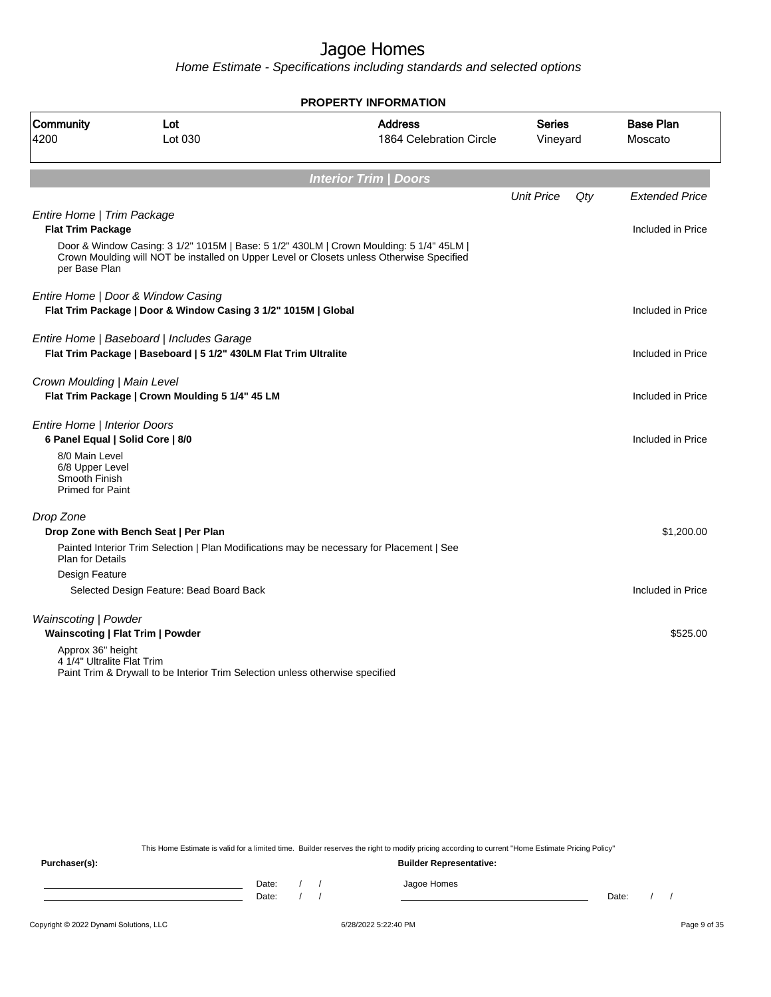Home Estimate - Specifications including standards and selected options

|                                                                  |                                                                                                               | <b>PROPERTY INFORMATION</b>                                                                                                                                                          |                           |     |                             |
|------------------------------------------------------------------|---------------------------------------------------------------------------------------------------------------|--------------------------------------------------------------------------------------------------------------------------------------------------------------------------------------|---------------------------|-----|-----------------------------|
| Community<br>4200                                                | Lot<br>Lot 030                                                                                                | <b>Address</b><br>1864 Celebration Circle                                                                                                                                            | <b>Series</b><br>Vineyard |     | <b>Base Plan</b><br>Moscato |
|                                                                  |                                                                                                               | <b>Interior Trim   Doors</b>                                                                                                                                                         |                           |     |                             |
|                                                                  |                                                                                                               |                                                                                                                                                                                      | <b>Unit Price</b>         | Qty | <b>Extended Price</b>       |
| Entire Home   Trim Package                                       |                                                                                                               |                                                                                                                                                                                      |                           |     |                             |
| <b>Flat Trim Package</b>                                         |                                                                                                               |                                                                                                                                                                                      |                           |     | Included in Price           |
| per Base Plan                                                    |                                                                                                               | Door & Window Casing: 3 1/2" 1015M   Base: 5 1/2" 430LM   Crown Moulding: 5 1/4" 45LM  <br>Crown Moulding will NOT be installed on Upper Level or Closets unless Otherwise Specified |                           |     |                             |
|                                                                  | Entire Home   Door & Window Casing                                                                            |                                                                                                                                                                                      |                           |     |                             |
|                                                                  | Flat Trim Package   Door & Window Casing 3 1/2" 1015M   Global                                                |                                                                                                                                                                                      |                           |     | Included in Price           |
|                                                                  |                                                                                                               |                                                                                                                                                                                      |                           |     |                             |
|                                                                  | Entire Home   Baseboard   Includes Garage<br>Flat Trim Package   Baseboard   5 1/2" 430LM Flat Trim Ultralite |                                                                                                                                                                                      |                           |     | Included in Price           |
|                                                                  |                                                                                                               |                                                                                                                                                                                      |                           |     |                             |
| Crown Moulding   Main Level                                      |                                                                                                               |                                                                                                                                                                                      |                           |     |                             |
|                                                                  | Flat Trim Package   Crown Moulding 5 1/4" 45 LM                                                               |                                                                                                                                                                                      |                           |     | Included in Price           |
|                                                                  |                                                                                                               |                                                                                                                                                                                      |                           |     |                             |
| Entire Home   Interior Doors<br>6 Panel Equal   Solid Core   8/0 |                                                                                                               |                                                                                                                                                                                      |                           |     | Included in Price           |
| 8/0 Main Level                                                   |                                                                                                               |                                                                                                                                                                                      |                           |     |                             |
| 6/8 Upper Level                                                  |                                                                                                               |                                                                                                                                                                                      |                           |     |                             |
| Smooth Finish<br><b>Primed for Paint</b>                         |                                                                                                               |                                                                                                                                                                                      |                           |     |                             |
|                                                                  |                                                                                                               |                                                                                                                                                                                      |                           |     |                             |
| Drop Zone                                                        |                                                                                                               |                                                                                                                                                                                      |                           |     |                             |
|                                                                  | Drop Zone with Bench Seat   Per Plan                                                                          |                                                                                                                                                                                      |                           |     | \$1,200.00                  |
|                                                                  | Painted Interior Trim Selection   Plan Modifications may be necessary for Placement   See                     |                                                                                                                                                                                      |                           |     |                             |
| <b>Plan for Details</b><br>Design Feature                        |                                                                                                               |                                                                                                                                                                                      |                           |     |                             |
|                                                                  | Selected Design Feature: Bead Board Back                                                                      |                                                                                                                                                                                      |                           |     | Included in Price           |
|                                                                  |                                                                                                               |                                                                                                                                                                                      |                           |     |                             |
| Wainscoting   Powder                                             |                                                                                                               |                                                                                                                                                                                      |                           |     |                             |
| Wainscoting   Flat Trim   Powder                                 |                                                                                                               |                                                                                                                                                                                      |                           |     | \$525.00                    |
| Approx 36" height                                                |                                                                                                               |                                                                                                                                                                                      |                           |     |                             |
| 4 1/4" Ultralite Flat Trim                                       | Paint Trim & Drywall to be Interior Trim Selection unless otherwise specified                                 |                                                                                                                                                                                      |                           |     |                             |
|                                                                  |                                                                                                               |                                                                                                                                                                                      |                           |     |                             |
|                                                                  |                                                                                                               |                                                                                                                                                                                      |                           |     |                             |
|                                                                  |                                                                                                               |                                                                                                                                                                                      |                           |     |                             |

This Home Estimate is valid for a limited time. Builder reserves the right to modify pricing according to current "Home Estimate Pricing Policy"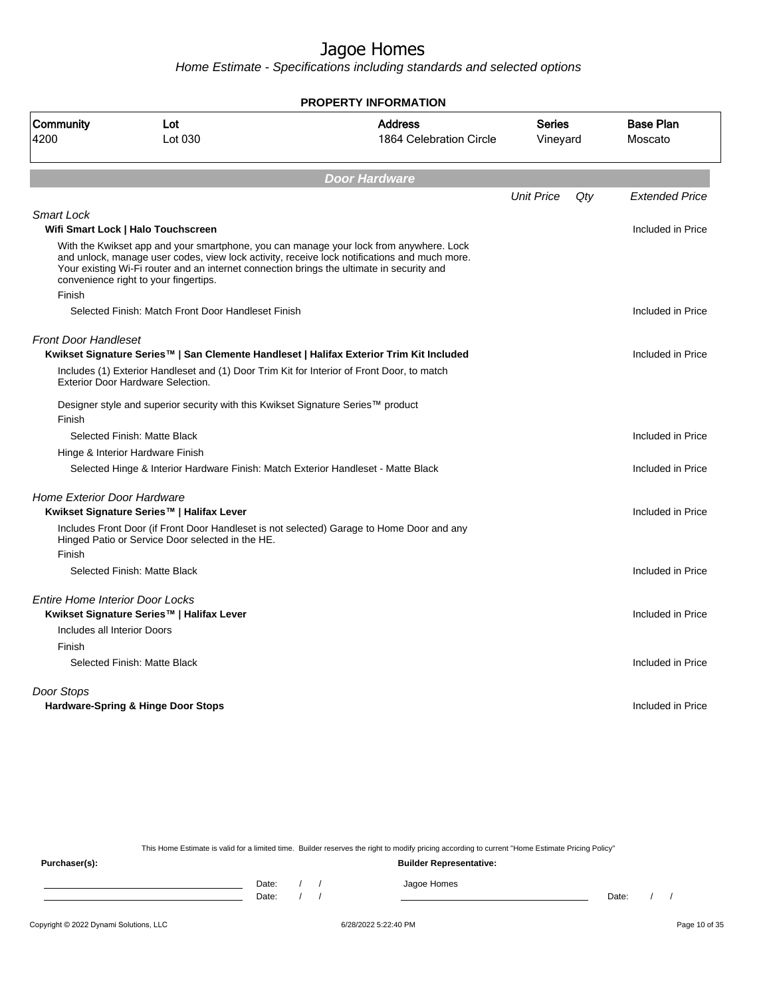Home Estimate - Specifications including standards and selected options

|                                        |                                                                                                                                    | <b>PROPERTY INFORMATION</b>                                                                                                                                                            |                           |     |                             |
|----------------------------------------|------------------------------------------------------------------------------------------------------------------------------------|----------------------------------------------------------------------------------------------------------------------------------------------------------------------------------------|---------------------------|-----|-----------------------------|
| Community<br>4200                      | Lot<br>Lot 030                                                                                                                     | <b>Address</b><br>1864 Celebration Circle                                                                                                                                              | <b>Series</b><br>Vineyard |     | <b>Base Plan</b><br>Moscato |
|                                        |                                                                                                                                    | <b>Door Hardware</b>                                                                                                                                                                   |                           |     |                             |
|                                        |                                                                                                                                    |                                                                                                                                                                                        | <b>Unit Price</b>         | Qty | <b>Extended Price</b>       |
| <b>Smart Lock</b>                      | Wifi Smart Lock   Halo Touchscreen                                                                                                 |                                                                                                                                                                                        |                           |     | Included in Price           |
|                                        | Your existing Wi-Fi router and an internet connection brings the ultimate in security and<br>convenience right to your fingertips. | With the Kwikset app and your smartphone, you can manage your lock from anywhere. Lock<br>and unlock, manage user codes, view lock activity, receive lock notifications and much more. |                           |     |                             |
| Finish                                 | Selected Finish: Match Front Door Handleset Finish                                                                                 |                                                                                                                                                                                        |                           |     | Included in Price           |
| <b>Front Door Handleset</b>            |                                                                                                                                    | Kwikset Signature Series™   San Clemente Handleset   Halifax Exterior Trim Kit Included                                                                                                |                           |     | Included in Price           |
|                                        | Includes (1) Exterior Handleset and (1) Door Trim Kit for Interior of Front Door, to match<br>Exterior Door Hardware Selection.    |                                                                                                                                                                                        |                           |     |                             |
| Finish                                 | Designer style and superior security with this Kwikset Signature Series™ product                                                   |                                                                                                                                                                                        |                           |     |                             |
|                                        | Selected Finish: Matte Black                                                                                                       |                                                                                                                                                                                        |                           |     | Included in Price           |
|                                        | Hinge & Interior Hardware Finish                                                                                                   |                                                                                                                                                                                        |                           |     |                             |
|                                        | Selected Hinge & Interior Hardware Finish: Match Exterior Handleset - Matte Black                                                  |                                                                                                                                                                                        |                           |     | Included in Price           |
| <b>Home Exterior Door Hardware</b>     |                                                                                                                                    |                                                                                                                                                                                        |                           |     |                             |
|                                        | Kwikset Signature Series™   Halifax Lever                                                                                          |                                                                                                                                                                                        |                           |     | Included in Price           |
|                                        | Hinged Patio or Service Door selected in the HE.                                                                                   | Includes Front Door (if Front Door Handleset is not selected) Garage to Home Door and any                                                                                              |                           |     |                             |
| Finish                                 |                                                                                                                                    |                                                                                                                                                                                        |                           |     |                             |
|                                        | Selected Finish: Matte Black                                                                                                       |                                                                                                                                                                                        |                           |     | Included in Price           |
| <b>Entire Home Interior Door Locks</b> | Kwikset Signature Series™   Halifax Lever                                                                                          |                                                                                                                                                                                        |                           |     | Included in Price           |
| Includes all Interior Doors            |                                                                                                                                    |                                                                                                                                                                                        |                           |     |                             |
| Finish                                 |                                                                                                                                    |                                                                                                                                                                                        |                           |     |                             |
|                                        | Selected Finish: Matte Black                                                                                                       |                                                                                                                                                                                        |                           |     | Included in Price           |
| Door Stops                             |                                                                                                                                    |                                                                                                                                                                                        |                           |     |                             |
|                                        | Hardware-Spring & Hinge Door Stops                                                                                                 |                                                                                                                                                                                        |                           |     | Included in Price           |
|                                        |                                                                                                                                    |                                                                                                                                                                                        |                           |     |                             |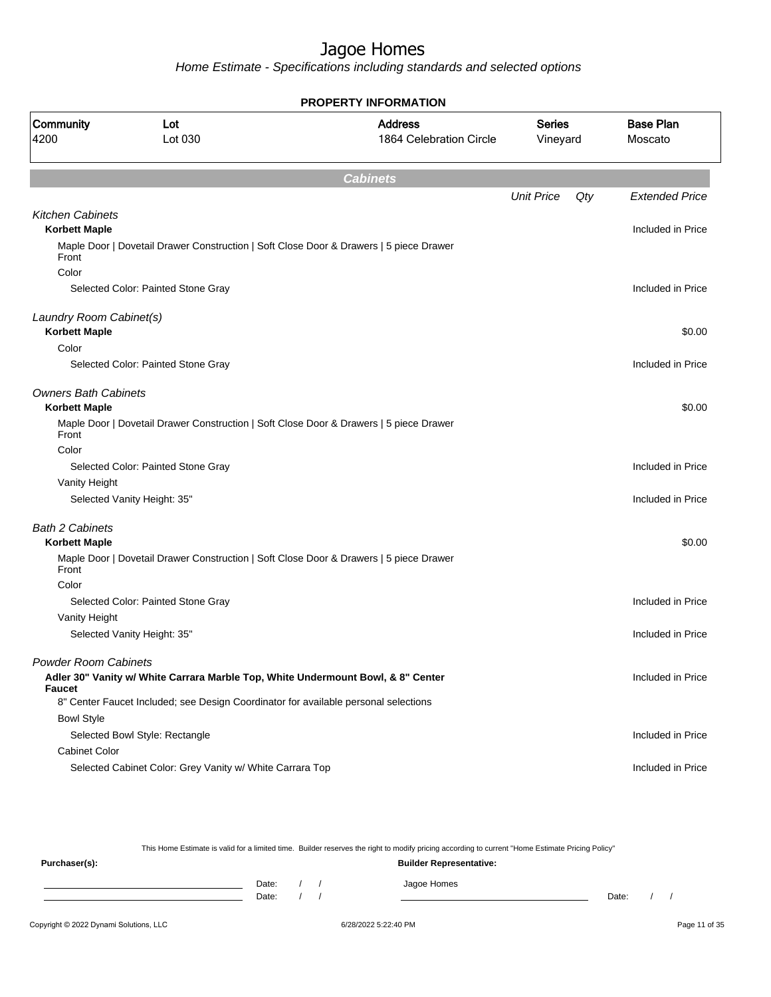Home Estimate - Specifications including standards and selected options

|                             |                                                                                        | <b>PROPERTY INFORMATION</b>               |                           |     |                             |
|-----------------------------|----------------------------------------------------------------------------------------|-------------------------------------------|---------------------------|-----|-----------------------------|
| Community<br>4200           | Lot<br>Lot 030                                                                         | <b>Address</b><br>1864 Celebration Circle | <b>Series</b><br>Vineyard |     | <b>Base Plan</b><br>Moscato |
|                             |                                                                                        | <b>Cabinets</b>                           |                           |     |                             |
|                             |                                                                                        |                                           | <b>Unit Price</b>         | Qty | <b>Extended Price</b>       |
| <b>Kitchen Cabinets</b>     |                                                                                        |                                           |                           |     |                             |
| <b>Korbett Maple</b>        |                                                                                        |                                           |                           |     | Included in Price           |
|                             | Maple Door   Dovetail Drawer Construction   Soft Close Door & Drawers   5 piece Drawer |                                           |                           |     |                             |
| Front<br>Color              |                                                                                        |                                           |                           |     |                             |
|                             | Selected Color: Painted Stone Gray                                                     |                                           |                           |     | Included in Price           |
|                             |                                                                                        |                                           |                           |     |                             |
| Laundry Room Cabinet(s)     |                                                                                        |                                           |                           |     |                             |
| <b>Korbett Maple</b>        |                                                                                        |                                           |                           |     | \$0.00                      |
| Color                       |                                                                                        |                                           |                           |     |                             |
|                             | Selected Color: Painted Stone Gray                                                     |                                           |                           |     | Included in Price           |
| <b>Owners Bath Cabinets</b> |                                                                                        |                                           |                           |     |                             |
| <b>Korbett Maple</b>        | Maple Door   Dovetail Drawer Construction   Soft Close Door & Drawers   5 piece Drawer |                                           |                           |     | \$0.00                      |
| Front                       |                                                                                        |                                           |                           |     |                             |
| Color                       |                                                                                        |                                           |                           |     |                             |
|                             | Selected Color: Painted Stone Gray                                                     |                                           |                           |     | Included in Price           |
| Vanity Height               |                                                                                        |                                           |                           |     |                             |
|                             | Selected Vanity Height: 35"                                                            |                                           |                           |     | Included in Price           |
| <b>Bath 2 Cabinets</b>      |                                                                                        |                                           |                           |     |                             |
| <b>Korbett Maple</b>        |                                                                                        |                                           |                           |     | \$0.00                      |
| Front                       | Maple Door   Dovetail Drawer Construction   Soft Close Door & Drawers   5 piece Drawer |                                           |                           |     |                             |
| Color                       |                                                                                        |                                           |                           |     |                             |
|                             | Selected Color: Painted Stone Gray                                                     |                                           |                           |     | Included in Price           |
| Vanity Height               |                                                                                        |                                           |                           |     |                             |
|                             | Selected Vanity Height: 35"                                                            |                                           |                           |     | Included in Price           |
| <b>Powder Room Cabinets</b> |                                                                                        |                                           |                           |     |                             |
| <b>Faucet</b>               | Adler 30" Vanity w/ White Carrara Marble Top, White Undermount Bowl, & 8" Center       |                                           |                           |     | Included in Price           |
|                             | 8" Center Faucet Included; see Design Coordinator for available personal selections    |                                           |                           |     |                             |
| <b>Bowl Style</b>           |                                                                                        |                                           |                           |     |                             |
|                             | Selected Bowl Style: Rectangle                                                         |                                           |                           |     | Included in Price           |
| <b>Cabinet Color</b>        |                                                                                        |                                           |                           |     |                             |
|                             | Selected Cabinet Color: Grey Vanity w/ White Carrara Top                               |                                           |                           |     | Included in Price           |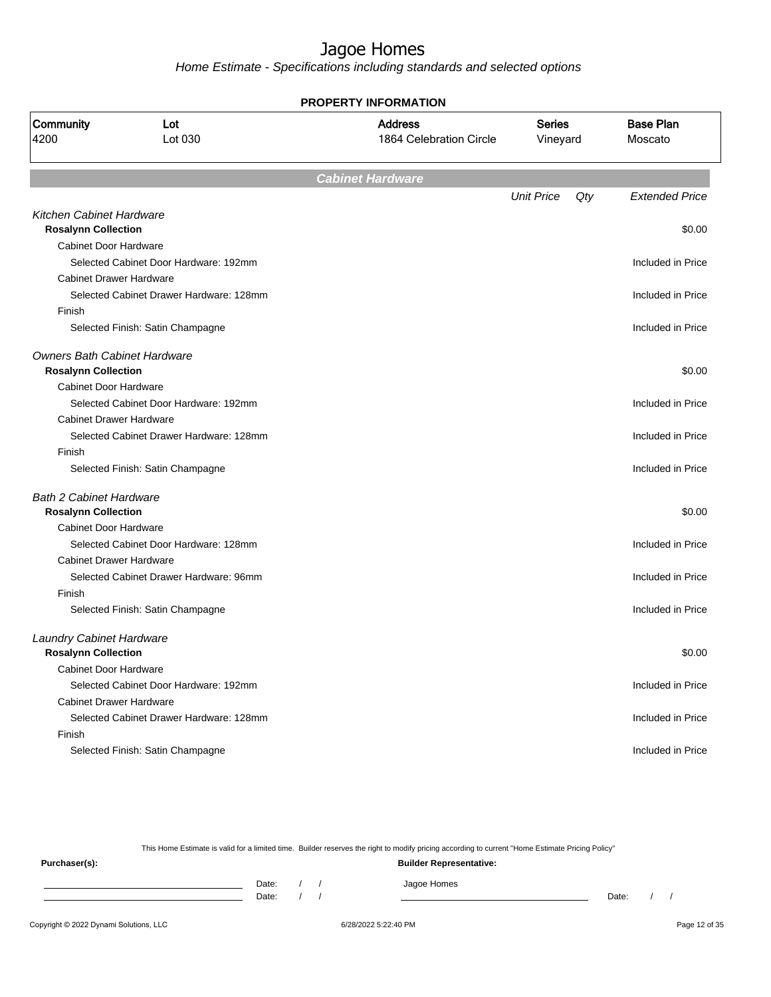Home Estimate - Specifications including standards and selected options

|                                     |                                         | <b>PROPERTY INFORMATION</b>               |                           |     |                             |
|-------------------------------------|-----------------------------------------|-------------------------------------------|---------------------------|-----|-----------------------------|
| Community<br>4200                   | Lot<br>Lot 030                          | <b>Address</b><br>1864 Celebration Circle | <b>Series</b><br>Vineyard |     | <b>Base Plan</b><br>Moscato |
|                                     |                                         | <b>Cabinet Hardware</b>                   |                           |     |                             |
|                                     |                                         |                                           | <b>Unit Price</b>         | Qty | <b>Extended Price</b>       |
| Kitchen Cabinet Hardware            |                                         |                                           |                           |     |                             |
| <b>Rosalynn Collection</b>          |                                         |                                           |                           |     | \$0.00                      |
| <b>Cabinet Door Hardware</b>        |                                         |                                           |                           |     |                             |
|                                     | Selected Cabinet Door Hardware: 192mm   |                                           |                           |     | Included in Price           |
| <b>Cabinet Drawer Hardware</b>      |                                         |                                           |                           |     |                             |
|                                     | Selected Cabinet Drawer Hardware: 128mm |                                           |                           |     | Included in Price           |
| Finish                              |                                         |                                           |                           |     |                             |
|                                     | Selected Finish: Satin Champagne        |                                           |                           |     | Included in Price           |
| <b>Owners Bath Cabinet Hardware</b> |                                         |                                           |                           |     |                             |
| <b>Rosalynn Collection</b>          |                                         |                                           |                           |     | \$0.00                      |
| <b>Cabinet Door Hardware</b>        |                                         |                                           |                           |     |                             |
|                                     | Selected Cabinet Door Hardware: 192mm   |                                           |                           |     | Included in Price           |
| <b>Cabinet Drawer Hardware</b>      |                                         |                                           |                           |     |                             |
|                                     | Selected Cabinet Drawer Hardware: 128mm |                                           |                           |     | Included in Price           |
| Finish                              |                                         |                                           |                           |     |                             |
|                                     | Selected Finish: Satin Champagne        |                                           |                           |     | Included in Price           |
| <b>Bath 2 Cabinet Hardware</b>      |                                         |                                           |                           |     |                             |
| <b>Rosalynn Collection</b>          |                                         |                                           |                           |     | \$0.00                      |
| <b>Cabinet Door Hardware</b>        |                                         |                                           |                           |     |                             |
|                                     | Selected Cabinet Door Hardware: 128mm   |                                           |                           |     | Included in Price           |
| <b>Cabinet Drawer Hardware</b>      |                                         |                                           |                           |     |                             |
|                                     | Selected Cabinet Drawer Hardware: 96mm  |                                           |                           |     | Included in Price           |
| Finish                              |                                         |                                           |                           |     |                             |
|                                     | Selected Finish: Satin Champagne        |                                           |                           |     | Included in Price           |
| Laundry Cabinet Hardware            |                                         |                                           |                           |     |                             |
| <b>Rosalynn Collection</b>          |                                         |                                           |                           |     | \$0.00                      |
| <b>Cabinet Door Hardware</b>        |                                         |                                           |                           |     |                             |
|                                     | Selected Cabinet Door Hardware: 192mm   |                                           |                           |     | Included in Price           |
| <b>Cabinet Drawer Hardware</b>      |                                         |                                           |                           |     |                             |
|                                     | Selected Cabinet Drawer Hardware: 128mm |                                           |                           |     | Included in Price           |
| Finish                              |                                         |                                           |                           |     |                             |
|                                     | Selected Finish: Satin Champagne        |                                           |                           |     | Included in Price           |
|                                     |                                         |                                           |                           |     |                             |

This Home Estimate is valid for a limited time. Builder reserves the right to modify pricing according to current "Home Estimate Pricing Policy"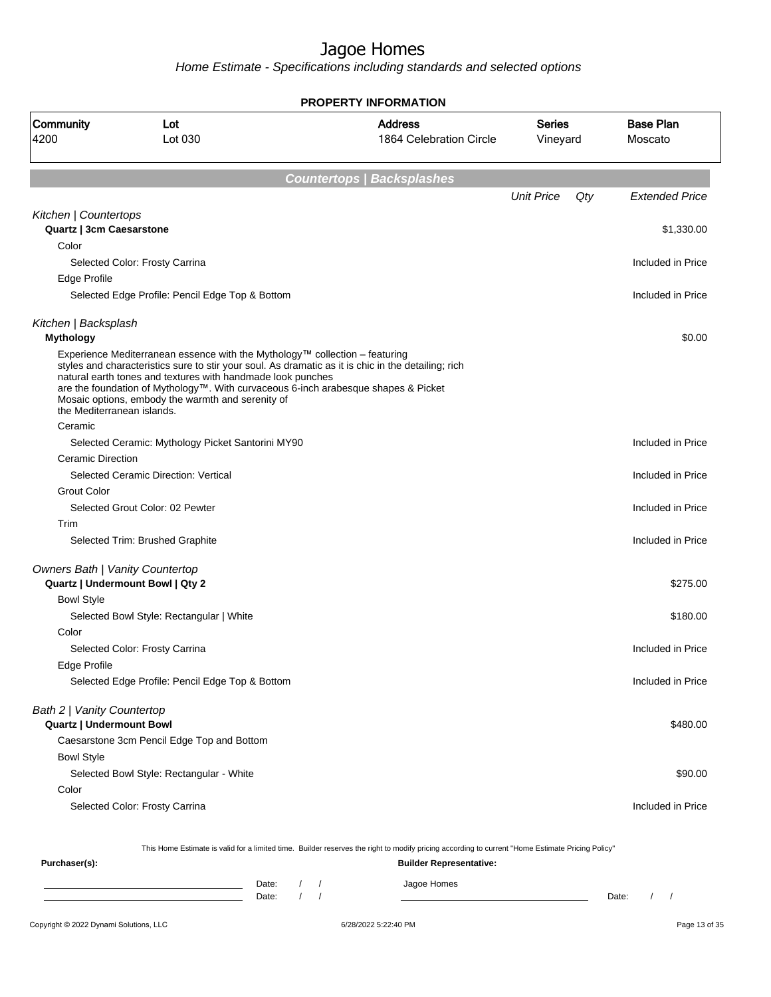Home Estimate - Specifications including standards and selected options

**PROPERTY INFORMATION**

| Community<br>4200                                                          | Lot<br>Lot 030                                                                                                                                                                                                                                                                        | <b>Address</b><br>1864 Celebration Circle                                                                                                        | <b>Series</b><br>Vineyard |     | <b>Base Plan</b><br>Moscato |  |  |  |
|----------------------------------------------------------------------------|---------------------------------------------------------------------------------------------------------------------------------------------------------------------------------------------------------------------------------------------------------------------------------------|--------------------------------------------------------------------------------------------------------------------------------------------------|---------------------------|-----|-----------------------------|--|--|--|
| <b>Countertops   Backsplashes</b>                                          |                                                                                                                                                                                                                                                                                       |                                                                                                                                                  |                           |     |                             |  |  |  |
|                                                                            |                                                                                                                                                                                                                                                                                       |                                                                                                                                                  | <b>Unit Price</b>         | Qty | <b>Extended Price</b>       |  |  |  |
| Kitchen   Countertops<br>Quartz   3cm Caesarstone                          |                                                                                                                                                                                                                                                                                       |                                                                                                                                                  |                           |     | \$1,330.00                  |  |  |  |
| Color                                                                      |                                                                                                                                                                                                                                                                                       |                                                                                                                                                  |                           |     |                             |  |  |  |
|                                                                            | Selected Color: Frosty Carrina                                                                                                                                                                                                                                                        |                                                                                                                                                  |                           |     | Included in Price           |  |  |  |
| Edge Profile                                                               |                                                                                                                                                                                                                                                                                       |                                                                                                                                                  |                           |     |                             |  |  |  |
|                                                                            | Selected Edge Profile: Pencil Edge Top & Bottom                                                                                                                                                                                                                                       |                                                                                                                                                  |                           |     | Included in Price           |  |  |  |
| Kitchen   Backsplash<br><b>Mythology</b>                                   |                                                                                                                                                                                                                                                                                       |                                                                                                                                                  |                           |     | \$0.00                      |  |  |  |
| the Mediterranean islands.                                                 | Experience Mediterranean essence with the Mythology™ collection – featuring<br>natural earth tones and textures with handmade look punches<br>are the foundation of Mythology™. With curvaceous 6-inch arabesque shapes & Picket<br>Mosaic options, embody the warmth and serenity of | styles and characteristics sure to stir your soul. As dramatic as it is chic in the detailing; rich                                              |                           |     |                             |  |  |  |
| Ceramic                                                                    |                                                                                                                                                                                                                                                                                       |                                                                                                                                                  |                           |     |                             |  |  |  |
|                                                                            | Selected Ceramic: Mythology Picket Santorini MY90                                                                                                                                                                                                                                     |                                                                                                                                                  |                           |     | Included in Price           |  |  |  |
| <b>Ceramic Direction</b>                                                   |                                                                                                                                                                                                                                                                                       |                                                                                                                                                  |                           |     |                             |  |  |  |
|                                                                            | Selected Ceramic Direction: Vertical                                                                                                                                                                                                                                                  |                                                                                                                                                  |                           |     | Included in Price           |  |  |  |
| <b>Grout Color</b>                                                         |                                                                                                                                                                                                                                                                                       |                                                                                                                                                  |                           |     |                             |  |  |  |
|                                                                            | Selected Grout Color: 02 Pewter                                                                                                                                                                                                                                                       |                                                                                                                                                  |                           |     | Included in Price           |  |  |  |
| Trim                                                                       | Selected Trim: Brushed Graphite                                                                                                                                                                                                                                                       |                                                                                                                                                  |                           |     | Included in Price           |  |  |  |
|                                                                            |                                                                                                                                                                                                                                                                                       |                                                                                                                                                  |                           |     |                             |  |  |  |
| <b>Owners Bath   Vanity Countertop</b><br>Quartz   Undermount Bowl   Qty 2 |                                                                                                                                                                                                                                                                                       |                                                                                                                                                  |                           |     | \$275.00                    |  |  |  |
| <b>Bowl Style</b>                                                          |                                                                                                                                                                                                                                                                                       |                                                                                                                                                  |                           |     |                             |  |  |  |
|                                                                            | Selected Bowl Style: Rectangular   White                                                                                                                                                                                                                                              |                                                                                                                                                  |                           |     | \$180.00                    |  |  |  |
| Color                                                                      |                                                                                                                                                                                                                                                                                       |                                                                                                                                                  |                           |     |                             |  |  |  |
|                                                                            | Selected Color: Frosty Carrina                                                                                                                                                                                                                                                        |                                                                                                                                                  |                           |     | Included in Price           |  |  |  |
| Edge Profile                                                               |                                                                                                                                                                                                                                                                                       |                                                                                                                                                  |                           |     |                             |  |  |  |
|                                                                            | Selected Edge Profile: Pencil Edge Top & Bottom                                                                                                                                                                                                                                       |                                                                                                                                                  |                           |     | Included in Price           |  |  |  |
| Bath 2   Vanity Countertop<br><b>Quartz   Undermount Bowl</b>              |                                                                                                                                                                                                                                                                                       |                                                                                                                                                  |                           |     | \$480.00                    |  |  |  |
|                                                                            | Caesarstone 3cm Pencil Edge Top and Bottom                                                                                                                                                                                                                                            |                                                                                                                                                  |                           |     |                             |  |  |  |
| <b>Bowl Style</b>                                                          |                                                                                                                                                                                                                                                                                       |                                                                                                                                                  |                           |     |                             |  |  |  |
|                                                                            | Selected Bowl Style: Rectangular - White                                                                                                                                                                                                                                              |                                                                                                                                                  |                           |     | \$90.00                     |  |  |  |
| Color                                                                      |                                                                                                                                                                                                                                                                                       |                                                                                                                                                  |                           |     |                             |  |  |  |
|                                                                            | Selected Color: Frosty Carrina                                                                                                                                                                                                                                                        |                                                                                                                                                  |                           |     | Included in Price           |  |  |  |
|                                                                            |                                                                                                                                                                                                                                                                                       | This Home Estimate is valid for a limited time. Builder reserves the right to modify pricing according to current "Home Estimate Pricing Policy" |                           |     |                             |  |  |  |
| Purchaser(s):                                                              |                                                                                                                                                                                                                                                                                       | <b>Builder Representative:</b>                                                                                                                   |                           |     |                             |  |  |  |

Date: / / Jagoe Homes<br>Date: / / Jagoe Homes Date: / / Date: / /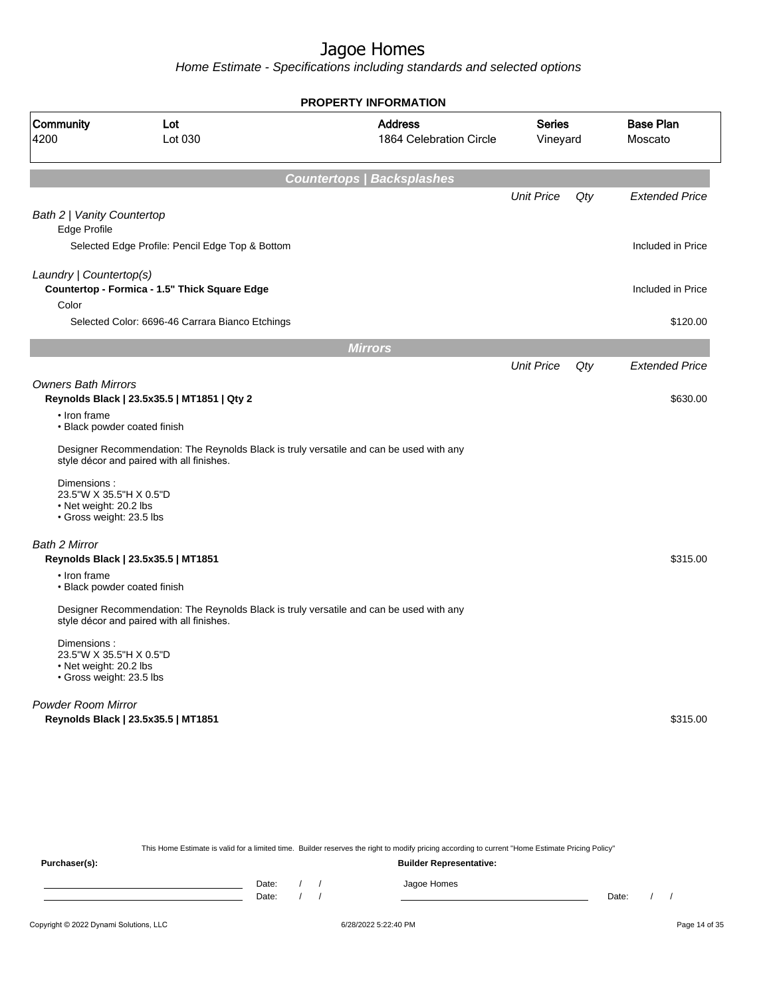Home Estimate - Specifications including standards and selected options

**Countertops | Backsplashes** Unit Price Qty Extended Price Bath 2 | Vanity Countertop Edge Profile Selected Edge Profile: Pencil Edge Top & Bottom Included in Price Laundry | Countertop(s) **Countertop - Formica - 1.5" Thick Square Edge** Included in Price Included in Price Color Selected Color: 6696-46 Carrara Bianco Etchings \$120.00 by \$120.00 \$120.00 \$120.00 **Mirrors** Unit Price Qty Extended Price Owners Bath Mirrors **Reynolds Black | 23.5x35.5 | MT1851 | Qty 2**  $$630.00$ • Iron frame • Black powder coated finish Designer Recommendation: The Reynolds Black is truly versatile and can be used with any style décor and paired with all finishes. Dimensions : 23.5"W X 35.5"H X 0.5"D • Net weight: 20.2 lbs • Gross weight: 23.5 lbs Bath 2 Mirror **Reynolds Black | 23.5x35.5 | MT1851** \$315.00 • Iron frame • Black powder coated finish Designer Recommendation: The Reynolds Black is truly versatile and can be used with any style décor and paired with all finishes. Dimensions : 23.5"W X 35.5"H X 0.5"D • Net weight: 20.2 lbs • Gross weight: 23.5 lbs Powder Room Mirror **Reynolds Black | 23.5x35.5 | MT1851** \$315.00 **PROPERTY INFORMATION** Vineyard Series 1864 Celebration Circle Address 4200 Lot 030 Community Lot Moscato Base Plan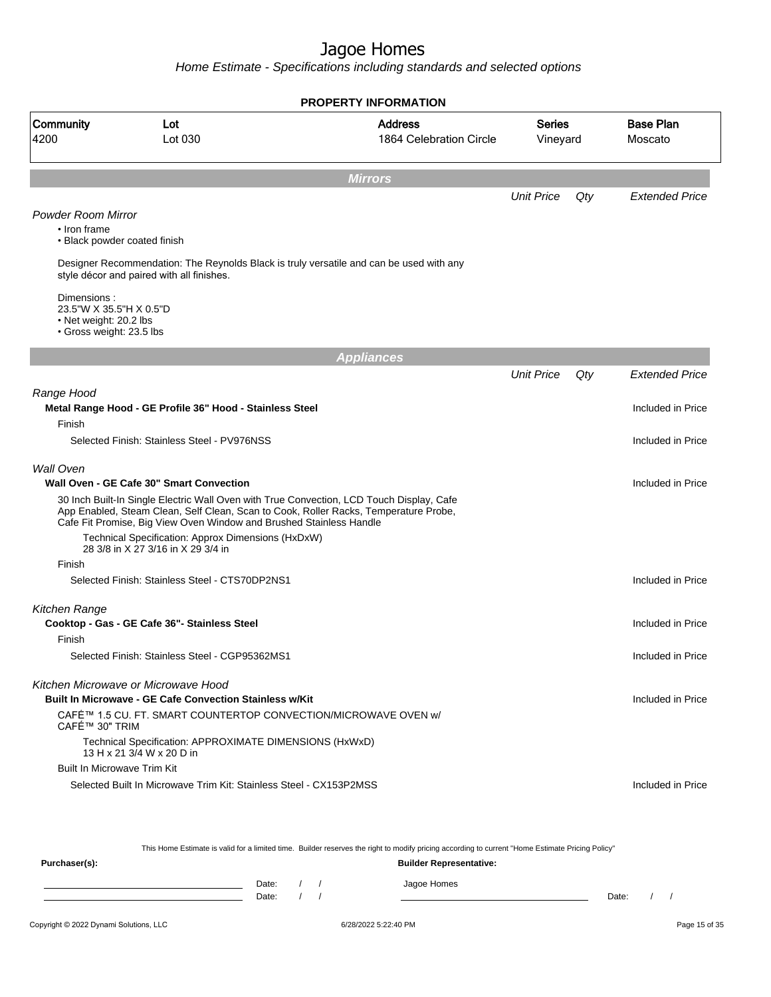Home Estimate - Specifications including standards and selected options

|                                                                                              |                                                                                                                                                                                                                                                         | <b>PROPERTY INFORMATION</b>               |                           |     |                             |  |  |  |  |
|----------------------------------------------------------------------------------------------|---------------------------------------------------------------------------------------------------------------------------------------------------------------------------------------------------------------------------------------------------------|-------------------------------------------|---------------------------|-----|-----------------------------|--|--|--|--|
| Community<br>4200                                                                            | Lot<br>Lot 030                                                                                                                                                                                                                                          | <b>Address</b><br>1864 Celebration Circle | <b>Series</b><br>Vineyard |     | <b>Base Plan</b><br>Moscato |  |  |  |  |
| <b>Mirrors</b>                                                                               |                                                                                                                                                                                                                                                         |                                           |                           |     |                             |  |  |  |  |
|                                                                                              |                                                                                                                                                                                                                                                         |                                           | <b>Unit Price</b>         | Qty | <b>Extended Price</b>       |  |  |  |  |
| <b>Powder Room Mirror</b><br>• Iron frame<br>• Black powder coated finish                    |                                                                                                                                                                                                                                                         |                                           |                           |     |                             |  |  |  |  |
|                                                                                              | Designer Recommendation: The Reynolds Black is truly versatile and can be used with any<br>style décor and paired with all finishes.                                                                                                                    |                                           |                           |     |                             |  |  |  |  |
| Dimensions:<br>23.5"W X 35.5"H X 0.5"D<br>• Net weight: 20.2 lbs<br>• Gross weight: 23.5 lbs |                                                                                                                                                                                                                                                         |                                           |                           |     |                             |  |  |  |  |
|                                                                                              |                                                                                                                                                                                                                                                         | <b>Appliances</b>                         |                           |     |                             |  |  |  |  |
|                                                                                              |                                                                                                                                                                                                                                                         |                                           | <b>Unit Price</b>         | Qty | <b>Extended Price</b>       |  |  |  |  |
| Range Hood                                                                                   | Metal Range Hood - GE Profile 36" Hood - Stainless Steel                                                                                                                                                                                                |                                           |                           |     | Included in Price           |  |  |  |  |
| Finish                                                                                       | Selected Finish: Stainless Steel - PV976NSS                                                                                                                                                                                                             |                                           |                           |     | Included in Price           |  |  |  |  |
|                                                                                              |                                                                                                                                                                                                                                                         |                                           |                           |     |                             |  |  |  |  |
| <b>Wall Oven</b>                                                                             | Wall Oven - GE Cafe 30" Smart Convection                                                                                                                                                                                                                |                                           |                           |     | Included in Price           |  |  |  |  |
|                                                                                              | 30 Inch Built-In Single Electric Wall Oven with True Convection, LCD Touch Display, Cafe<br>App Enabled, Steam Clean, Self Clean, Scan to Cook, Roller Racks, Temperature Probe,<br>Cafe Fit Promise, Big View Oven Window and Brushed Stainless Handle |                                           |                           |     |                             |  |  |  |  |
|                                                                                              | Technical Specification: Approx Dimensions (HxDxW)<br>28 3/8 in X 27 3/16 in X 29 3/4 in                                                                                                                                                                |                                           |                           |     |                             |  |  |  |  |
| Finish                                                                                       | Selected Finish: Stainless Steel - CTS70DP2NS1                                                                                                                                                                                                          |                                           |                           |     | Included in Price           |  |  |  |  |
|                                                                                              |                                                                                                                                                                                                                                                         |                                           |                           |     |                             |  |  |  |  |
| Kitchen Range                                                                                | Cooktop - Gas - GE Cafe 36"- Stainless Steel                                                                                                                                                                                                            |                                           |                           |     | Included in Price           |  |  |  |  |
| Finish                                                                                       | Selected Finish: Stainless Steel - CGP95362MS1                                                                                                                                                                                                          |                                           |                           |     | Included in Price           |  |  |  |  |
|                                                                                              | Kitchen Microwave or Microwave Hood                                                                                                                                                                                                                     |                                           |                           |     |                             |  |  |  |  |
|                                                                                              | <b>Built In Microwave - GE Cafe Convection Stainless w/Kit</b>                                                                                                                                                                                          |                                           |                           |     | Included in Price           |  |  |  |  |
| CAFÉ™ 30" TRIM                                                                               | CAFÉ™ 1.5 CU. FT. SMART COUNTERTOP CONVECTION/MICROWAVE OVEN w/                                                                                                                                                                                         |                                           |                           |     |                             |  |  |  |  |
|                                                                                              | Technical Specification: APPROXIMATE DIMENSIONS (HxWxD)<br>13 H x 21 3/4 W x 20 D in                                                                                                                                                                    |                                           |                           |     |                             |  |  |  |  |
| <b>Built In Microwave Trim Kit</b>                                                           |                                                                                                                                                                                                                                                         |                                           |                           |     |                             |  |  |  |  |
|                                                                                              | Selected Built In Microwave Trim Kit: Stainless Steel - CX153P2MSS                                                                                                                                                                                      |                                           |                           |     | Included in Price           |  |  |  |  |
|                                                                                              |                                                                                                                                                                                                                                                         |                                           |                           |     |                             |  |  |  |  |
|                                                                                              |                                                                                                                                                                                                                                                         |                                           |                           |     |                             |  |  |  |  |

This Home Estimate is valid for a limited time. Builder reserves the right to modify pricing according to current "Home Estimate Pricing Policy"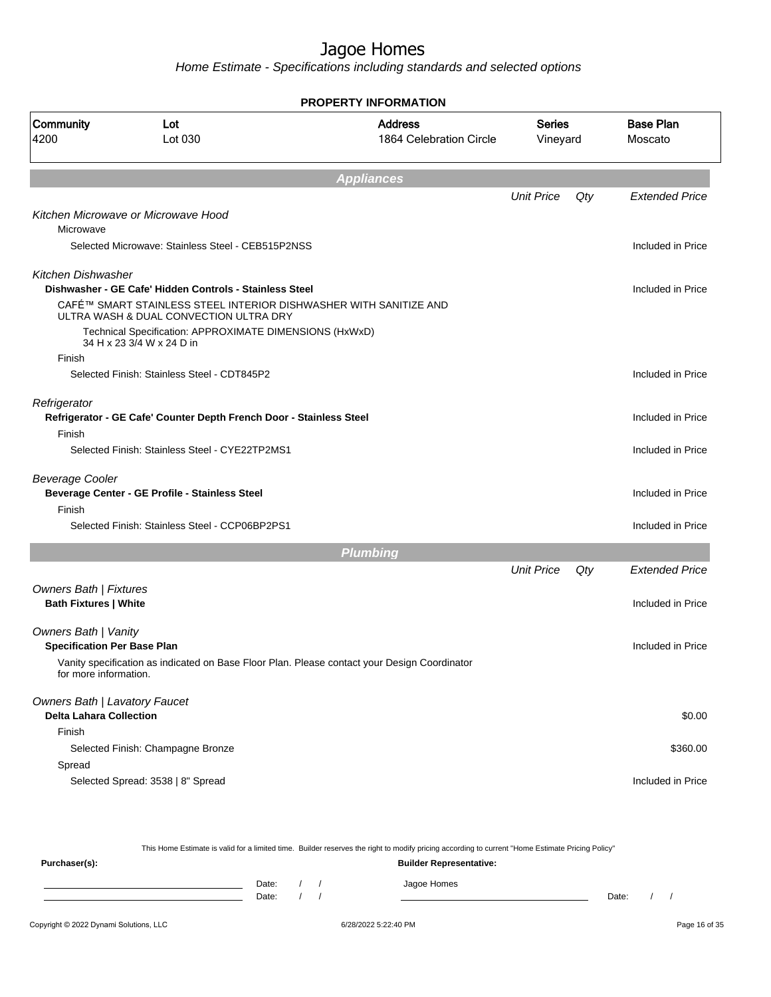Home Estimate - Specifications including standards and selected options

|                                      | <b>PROPERTY INFORMATION</b>                                                                                 |                                           |                           |     |                             |  |  |  |
|--------------------------------------|-------------------------------------------------------------------------------------------------------------|-------------------------------------------|---------------------------|-----|-----------------------------|--|--|--|
| Community<br>4200                    | Lot<br>Lot 030                                                                                              | <b>Address</b><br>1864 Celebration Circle | <b>Series</b><br>Vineyard |     | <b>Base Plan</b><br>Moscato |  |  |  |
|                                      |                                                                                                             | <b>Appliances</b>                         |                           |     |                             |  |  |  |
|                                      |                                                                                                             |                                           | <b>Unit Price</b>         | Qty | <b>Extended Price</b>       |  |  |  |
|                                      | Kitchen Microwave or Microwave Hood                                                                         |                                           |                           |     |                             |  |  |  |
| Microwave                            |                                                                                                             |                                           |                           |     |                             |  |  |  |
|                                      | Selected Microwave: Stainless Steel - CEB515P2NSS                                                           |                                           |                           |     | Included in Price           |  |  |  |
| Kitchen Dishwasher                   |                                                                                                             |                                           |                           |     |                             |  |  |  |
|                                      | Dishwasher - GE Cafe' Hidden Controls - Stainless Steel                                                     |                                           |                           |     | Included in Price           |  |  |  |
|                                      | CAFÉ™ SMART STAINLESS STEEL INTERIOR DISHWASHER WITH SANITIZE AND<br>ULTRA WASH & DUAL CONVECTION ULTRA DRY |                                           |                           |     |                             |  |  |  |
|                                      | Technical Specification: APPROXIMATE DIMENSIONS (HxWxD)<br>34 H x 23 3/4 W x 24 D in                        |                                           |                           |     |                             |  |  |  |
| Finish                               |                                                                                                             |                                           |                           |     |                             |  |  |  |
|                                      | Selected Finish: Stainless Steel - CDT845P2                                                                 |                                           |                           |     | Included in Price           |  |  |  |
| Refrigerator                         |                                                                                                             |                                           |                           |     |                             |  |  |  |
|                                      | Refrigerator - GE Cafe' Counter Depth French Door - Stainless Steel                                         |                                           |                           |     | Included in Price           |  |  |  |
| Finish                               |                                                                                                             |                                           |                           |     |                             |  |  |  |
|                                      | Selected Finish: Stainless Steel - CYE22TP2MS1                                                              |                                           |                           |     | Included in Price           |  |  |  |
| <b>Beverage Cooler</b>               |                                                                                                             |                                           |                           |     |                             |  |  |  |
|                                      | Beverage Center - GE Profile - Stainless Steel                                                              |                                           |                           |     | Included in Price           |  |  |  |
| Finish                               |                                                                                                             |                                           |                           |     |                             |  |  |  |
|                                      | Selected Finish: Stainless Steel - CCP06BP2PS1                                                              |                                           |                           |     | Included in Price           |  |  |  |
|                                      |                                                                                                             | <b>Plumbing</b>                           |                           |     |                             |  |  |  |
|                                      |                                                                                                             |                                           | <b>Unit Price</b>         | Qty | <b>Extended Price</b>       |  |  |  |
| Owners Bath   Fixtures               |                                                                                                             |                                           |                           |     |                             |  |  |  |
| <b>Bath Fixtures   White</b>         |                                                                                                             |                                           |                           |     | Included in Price           |  |  |  |
| <b>Owners Bath   Vanity</b>          |                                                                                                             |                                           |                           |     |                             |  |  |  |
| <b>Specification Per Base Plan</b>   |                                                                                                             |                                           |                           |     | Included in Price           |  |  |  |
| for more information.                | Vanity specification as indicated on Base Floor Plan. Please contact your Design Coordinator                |                                           |                           |     |                             |  |  |  |
| <b>Owners Bath   Lavatory Faucet</b> |                                                                                                             |                                           |                           |     |                             |  |  |  |
| <b>Delta Lahara Collection</b>       |                                                                                                             |                                           |                           |     | \$0.00                      |  |  |  |
| Finish                               |                                                                                                             |                                           |                           |     |                             |  |  |  |
|                                      | Selected Finish: Champagne Bronze                                                                           |                                           |                           |     | \$360.00                    |  |  |  |
| Spread                               |                                                                                                             |                                           |                           |     |                             |  |  |  |
|                                      | Selected Spread: 3538   8" Spread                                                                           |                                           |                           |     | Included in Price           |  |  |  |

|               | This Home Estimate is valid for a limited time. Builder reserves the right to modify pricing according to current "Home Estimate Pricing Policy" |                                |  |  |             |  |  |
|---------------|--------------------------------------------------------------------------------------------------------------------------------------------------|--------------------------------|--|--|-------------|--|--|
| Purchaser(s): |                                                                                                                                                  | <b>Builder Representative:</b> |  |  |             |  |  |
|               |                                                                                                                                                  | Date:                          |  |  | Jagoe Homes |  |  |

Copyright © 2022 Dynami Solutions, LLC **Capital Contract Contract Contract Contract Contract Contract Contract Contract Contract Contract Contract Contract Contract Contract Contract Contract Contract Contract Contract Con** Date: / / Date: / /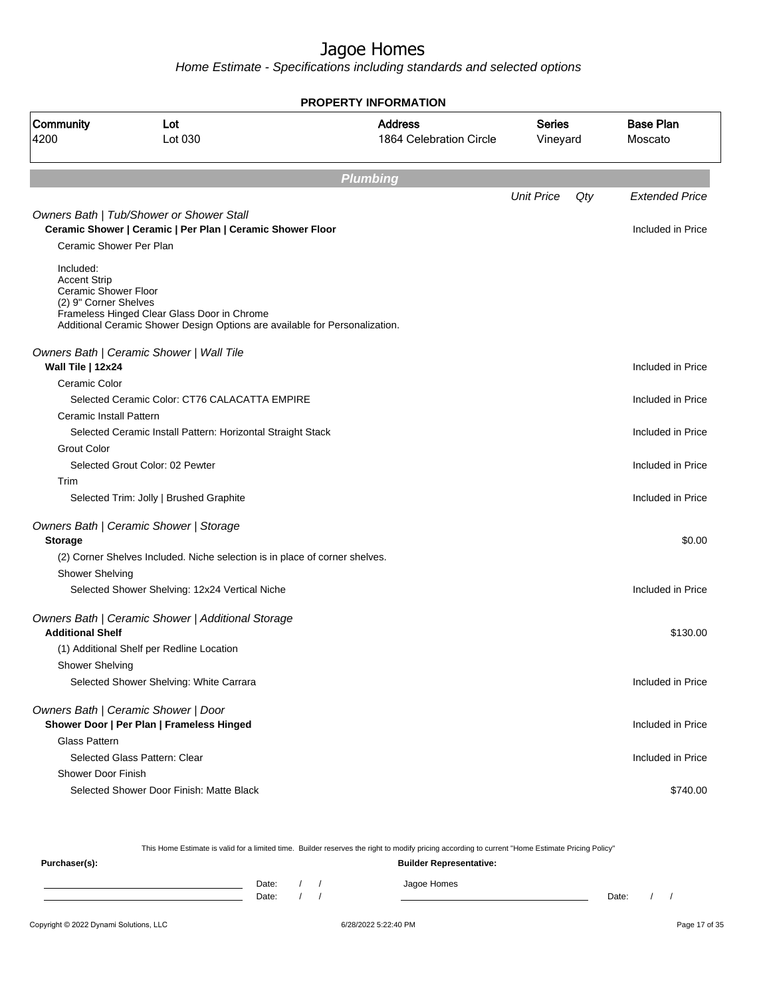Home Estimate - Specifications including standards and selected options

|                                                                                   | <b>PROPERTY INFORMATION</b>                                                                                                |                                           |                    |     |                             |  |  |  |  |
|-----------------------------------------------------------------------------------|----------------------------------------------------------------------------------------------------------------------------|-------------------------------------------|--------------------|-----|-----------------------------|--|--|--|--|
| <b>Community</b><br>4200                                                          | Lot<br>Lot 030                                                                                                             | <b>Address</b><br>1864 Celebration Circle | Series<br>Vineyard |     | <b>Base Plan</b><br>Moscato |  |  |  |  |
|                                                                                   |                                                                                                                            | <b>Plumbing</b>                           |                    |     |                             |  |  |  |  |
|                                                                                   |                                                                                                                            |                                           | <b>Unit Price</b>  | Qty | <b>Extended Price</b>       |  |  |  |  |
|                                                                                   | Owners Bath   Tub/Shower or Shower Stall                                                                                   |                                           |                    |     |                             |  |  |  |  |
|                                                                                   | Ceramic Shower   Ceramic   Per Plan   Ceramic Shower Floor                                                                 |                                           |                    |     | Included in Price           |  |  |  |  |
| Ceramic Shower Per Plan                                                           |                                                                                                                            |                                           |                    |     |                             |  |  |  |  |
| Included:<br><b>Accent Strip</b><br>Ceramic Shower Floor<br>(2) 9" Corner Shelves | Frameless Hinged Clear Glass Door in Chrome<br>Additional Ceramic Shower Design Options are available for Personalization. |                                           |                    |     |                             |  |  |  |  |
|                                                                                   | Owners Bath   Ceramic Shower   Wall Tile                                                                                   |                                           |                    |     |                             |  |  |  |  |
| Wall Tile   12x24                                                                 |                                                                                                                            |                                           |                    |     | Included in Price           |  |  |  |  |
| Ceramic Color                                                                     |                                                                                                                            |                                           |                    |     |                             |  |  |  |  |
|                                                                                   | Selected Ceramic Color: CT76 CALACATTA EMPIRE                                                                              |                                           |                    |     | Included in Price           |  |  |  |  |
| Ceramic Install Pattern                                                           |                                                                                                                            |                                           |                    |     |                             |  |  |  |  |
|                                                                                   | Selected Ceramic Install Pattern: Horizontal Straight Stack                                                                |                                           |                    |     | Included in Price           |  |  |  |  |
| <b>Grout Color</b>                                                                |                                                                                                                            |                                           |                    |     |                             |  |  |  |  |
| Trim                                                                              | Selected Grout Color: 02 Pewter                                                                                            |                                           |                    |     | Included in Price           |  |  |  |  |
|                                                                                   | Selected Trim: Jolly   Brushed Graphite                                                                                    |                                           |                    |     | Included in Price           |  |  |  |  |
|                                                                                   | Owners Bath   Ceramic Shower   Storage                                                                                     |                                           |                    |     |                             |  |  |  |  |
| <b>Storage</b>                                                                    |                                                                                                                            |                                           |                    |     | \$0.00                      |  |  |  |  |
| <b>Shower Shelving</b>                                                            | (2) Corner Shelves Included. Niche selection is in place of corner shelves.                                                |                                           |                    |     |                             |  |  |  |  |
|                                                                                   | Selected Shower Shelving: 12x24 Vertical Niche                                                                             |                                           |                    |     | Included in Price           |  |  |  |  |
|                                                                                   |                                                                                                                            |                                           |                    |     |                             |  |  |  |  |
|                                                                                   | Owners Bath   Ceramic Shower   Additional Storage                                                                          |                                           |                    |     |                             |  |  |  |  |
| <b>Additional Shelf</b>                                                           |                                                                                                                            |                                           |                    |     | \$130.00                    |  |  |  |  |
|                                                                                   | (1) Additional Shelf per Redline Location                                                                                  |                                           |                    |     |                             |  |  |  |  |
| <b>Shower Shelving</b>                                                            |                                                                                                                            |                                           |                    |     |                             |  |  |  |  |
|                                                                                   | Selected Shower Shelving: White Carrara                                                                                    |                                           |                    |     | Included in Price           |  |  |  |  |
|                                                                                   | Owners Bath   Ceramic Shower   Door                                                                                        |                                           |                    |     |                             |  |  |  |  |
|                                                                                   | Shower Door   Per Plan   Frameless Hinged                                                                                  |                                           |                    |     | Included in Price           |  |  |  |  |
| Glass Pattern                                                                     |                                                                                                                            |                                           |                    |     |                             |  |  |  |  |
|                                                                                   | Selected Glass Pattern: Clear                                                                                              |                                           |                    |     | Included in Price           |  |  |  |  |
| <b>Shower Door Finish</b>                                                         |                                                                                                                            |                                           |                    |     |                             |  |  |  |  |
|                                                                                   | Selected Shower Door Finish: Matte Black                                                                                   |                                           |                    |     | \$740.00                    |  |  |  |  |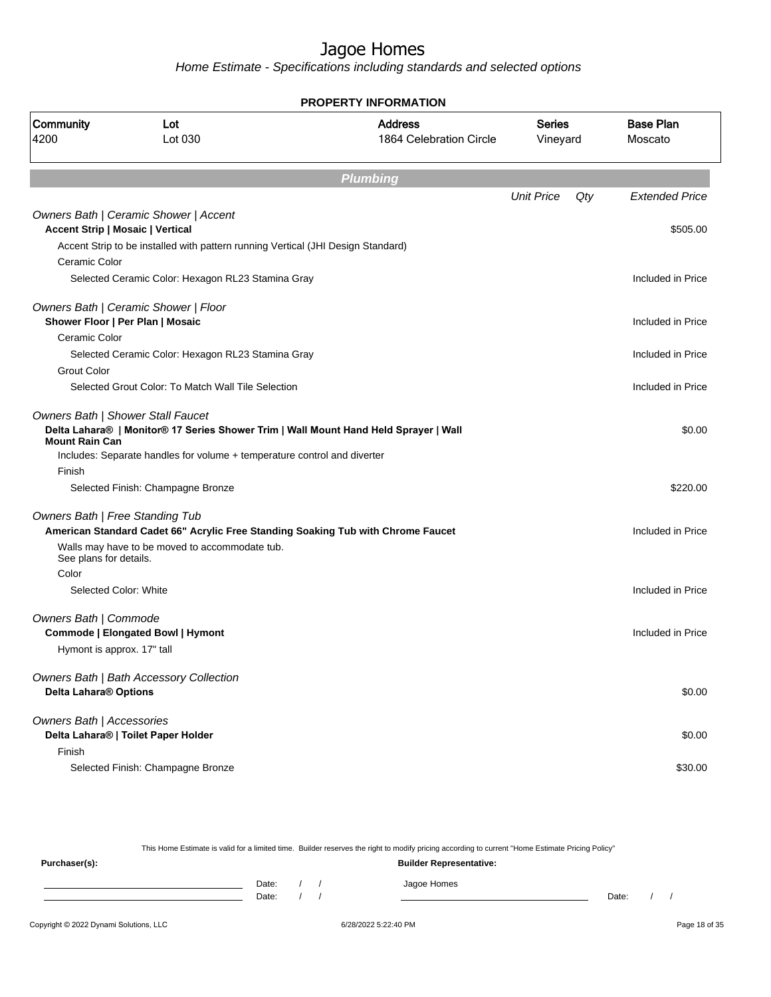Home Estimate - Specifications including standards and selected options

| <b>PROPERTY INFORMATION</b>      |                                                                                                                                                                                                       |                                           |                    |     |                             |  |  |  |
|----------------------------------|-------------------------------------------------------------------------------------------------------------------------------------------------------------------------------------------------------|-------------------------------------------|--------------------|-----|-----------------------------|--|--|--|
| Community<br>4200                | Lot<br>Lot 030                                                                                                                                                                                        | <b>Address</b><br>1864 Celebration Circle | Series<br>Vineyard |     | <b>Base Plan</b><br>Moscato |  |  |  |
|                                  |                                                                                                                                                                                                       | <b>Plumbing</b>                           |                    |     |                             |  |  |  |
|                                  |                                                                                                                                                                                                       |                                           | <b>Unit Price</b>  | Qty | <b>Extended Price</b>       |  |  |  |
|                                  | Owners Bath   Ceramic Shower   Accent                                                                                                                                                                 |                                           |                    |     |                             |  |  |  |
|                                  | <b>Accent Strip   Mosaic   Vertical</b>                                                                                                                                                               |                                           |                    |     | \$505.00                    |  |  |  |
|                                  | Accent Strip to be installed with pattern running Vertical (JHI Design Standard)                                                                                                                      |                                           |                    |     |                             |  |  |  |
| Ceramic Color                    |                                                                                                                                                                                                       |                                           |                    |     |                             |  |  |  |
|                                  | Selected Ceramic Color: Hexagon RL23 Stamina Gray                                                                                                                                                     |                                           |                    |     | Included in Price           |  |  |  |
|                                  | Owners Bath   Ceramic Shower   Floor                                                                                                                                                                  |                                           |                    |     |                             |  |  |  |
|                                  | Shower Floor   Per Plan   Mosaic                                                                                                                                                                      |                                           |                    |     | Included in Price           |  |  |  |
| Ceramic Color                    |                                                                                                                                                                                                       |                                           |                    |     |                             |  |  |  |
|                                  | Selected Ceramic Color: Hexagon RL23 Stamina Gray                                                                                                                                                     |                                           |                    |     | Included in Price           |  |  |  |
| <b>Grout Color</b>               |                                                                                                                                                                                                       |                                           |                    |     |                             |  |  |  |
|                                  | Selected Grout Color: To Match Wall Tile Selection                                                                                                                                                    |                                           |                    |     | Included in Price           |  |  |  |
| <b>Mount Rain Can</b>            | Owners Bath   Shower Stall Faucet<br>Delta Lahara®   Monitor® 17 Series Shower Trim   Wall Mount Hand Held Sprayer   Wall<br>Includes: Separate handles for volume + temperature control and diverter |                                           |                    |     | \$0.00                      |  |  |  |
| Finish                           |                                                                                                                                                                                                       |                                           |                    |     |                             |  |  |  |
|                                  | Selected Finish: Champagne Bronze                                                                                                                                                                     |                                           |                    |     | \$220.00                    |  |  |  |
| Owners Bath   Free Standing Tub  |                                                                                                                                                                                                       |                                           |                    |     |                             |  |  |  |
|                                  | American Standard Cadet 66" Acrylic Free Standing Soaking Tub with Chrome Faucet                                                                                                                      |                                           |                    |     | Included in Price           |  |  |  |
| See plans for details.           | Walls may have to be moved to accommodate tub.                                                                                                                                                        |                                           |                    |     |                             |  |  |  |
| Color                            |                                                                                                                                                                                                       |                                           |                    |     |                             |  |  |  |
|                                  | Selected Color: White                                                                                                                                                                                 |                                           |                    |     | Included in Price           |  |  |  |
| Owners Bath   Commode            | Commode   Elongated Bowl   Hymont                                                                                                                                                                     |                                           |                    |     | Included in Price           |  |  |  |
| Hymont is approx. 17" tall       |                                                                                                                                                                                                       |                                           |                    |     |                             |  |  |  |
|                                  |                                                                                                                                                                                                       |                                           |                    |     |                             |  |  |  |
| Delta Lahara® Options            | Owners Bath   Bath Accessory Collection                                                                                                                                                               |                                           |                    |     | \$0.00                      |  |  |  |
| <b>Owners Bath   Accessories</b> | Delta Lahara®   Toilet Paper Holder                                                                                                                                                                   |                                           |                    |     | \$0.00                      |  |  |  |
| Finish                           |                                                                                                                                                                                                       |                                           |                    |     |                             |  |  |  |
|                                  | Selected Finish: Champagne Bronze                                                                                                                                                                     |                                           |                    |     | \$30.00                     |  |  |  |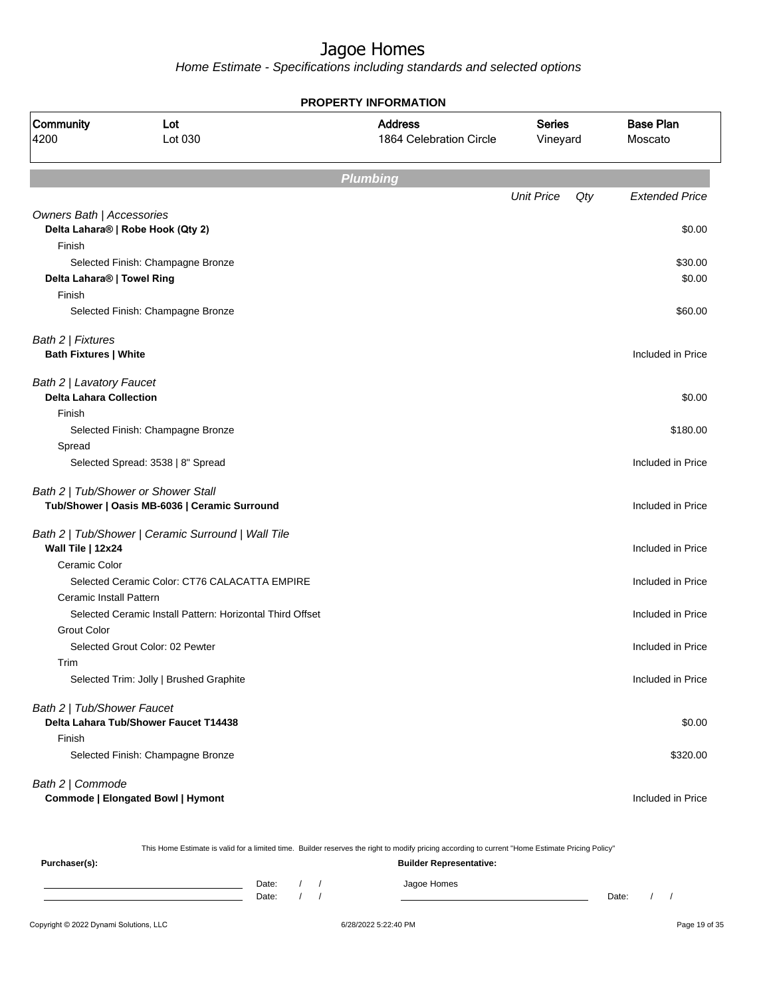Home Estimate - Specifications including standards and selected options

| <b>Base Plan</b>      |
|-----------------------|
| Moscato               |
|                       |
| <b>Extended Price</b> |
| \$0.00                |
|                       |
| \$30.00               |
| \$0.00                |
| \$60.00               |
|                       |
| Included in Price     |
|                       |
| \$0.00                |
|                       |
| \$180.00              |
|                       |
| Included in Price     |
|                       |
| Included in Price     |
| Included in Price     |
|                       |
| Included in Price     |
|                       |
| Included in Price     |
|                       |
| Included in Price     |
|                       |
| Included in Price     |
|                       |
| \$0.00                |
|                       |
| \$320.00              |
|                       |
|                       |
|                       |

This Home Estimate is valid for a limited time. Builder reserves the right to modify pricing according to current "Home Estimate Pricing Policy"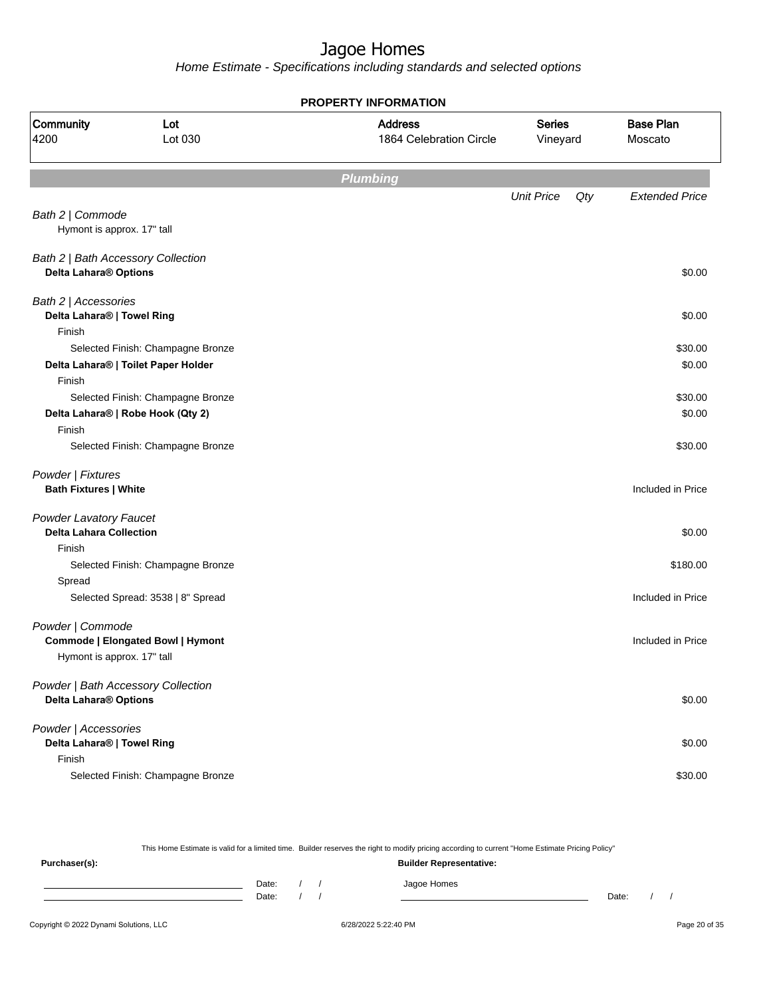Home Estimate - Specifications including standards and selected options

| <b>PROPERTY INFORMATION</b>                                     |                                          |                                           |                           |     |                             |  |  |
|-----------------------------------------------------------------|------------------------------------------|-------------------------------------------|---------------------------|-----|-----------------------------|--|--|
| Community<br>4200                                               | Lot<br>Lot 030                           | <b>Address</b><br>1864 Celebration Circle | <b>Series</b><br>Vineyard |     | <b>Base Plan</b><br>Moscato |  |  |
|                                                                 |                                          | <b>Plumbing</b>                           |                           |     |                             |  |  |
|                                                                 |                                          |                                           | <b>Unit Price</b>         | Qty | <b>Extended Price</b>       |  |  |
| Bath 2   Commode<br>Hymont is approx. 17" tall                  |                                          |                                           |                           |     |                             |  |  |
| Bath 2   Bath Accessory Collection<br>Delta Lahara® Options     |                                          |                                           |                           |     | \$0.00                      |  |  |
| Bath 2   Accessories<br>Delta Lahara®   Towel Ring              |                                          |                                           |                           |     | \$0.00                      |  |  |
| Finish                                                          | Selected Finish: Champagne Bronze        |                                           |                           |     | \$30.00                     |  |  |
| Finish                                                          | Delta Lahara®   Toilet Paper Holder      |                                           |                           |     | \$0.00                      |  |  |
|                                                                 | Selected Finish: Champagne Bronze        |                                           |                           |     | \$30.00                     |  |  |
| Finish                                                          | Delta Lahara®   Robe Hook (Qty 2)        |                                           |                           |     | \$0.00                      |  |  |
|                                                                 | Selected Finish: Champagne Bronze        |                                           |                           |     | \$30.00                     |  |  |
| Powder   Fixtures                                               |                                          |                                           |                           |     |                             |  |  |
| <b>Bath Fixtures   White</b>                                    |                                          |                                           |                           |     | Included in Price           |  |  |
| <b>Powder Lavatory Faucet</b><br><b>Delta Lahara Collection</b> |                                          |                                           |                           |     | \$0.00                      |  |  |
| Finish                                                          |                                          |                                           |                           |     | \$180.00                    |  |  |
| Spread                                                          | Selected Finish: Champagne Bronze        |                                           |                           |     |                             |  |  |
|                                                                 | Selected Spread: 3538   8" Spread        |                                           |                           |     | Included in Price           |  |  |
| Powder   Commode                                                | <b>Commode   Elongated Bowl   Hymont</b> |                                           |                           |     | Included in Price           |  |  |
| Hymont is approx. 17" tall                                      |                                          |                                           |                           |     |                             |  |  |
| Delta Lahara® Options                                           | Powder   Bath Accessory Collection       |                                           |                           |     | \$0.00                      |  |  |
| Powder   Accessories<br>Delta Lahara®   Towel Ring              |                                          |                                           |                           |     | \$0.00                      |  |  |
| Finish                                                          | Selected Finish: Champagne Bronze        |                                           |                           |     | \$30.00                     |  |  |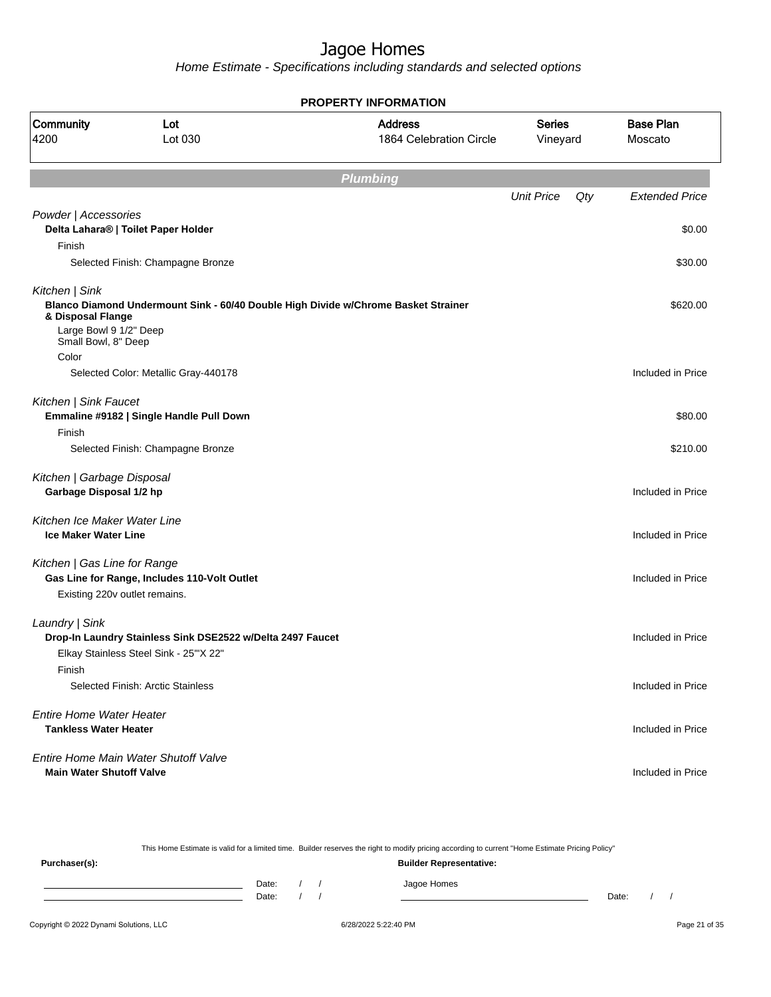Home Estimate - Specifications including standards and selected options

| <b>PROPERTY INFORMATION</b>                   |                                                            |                                                                                    |                           |     |                             |  |  |  |
|-----------------------------------------------|------------------------------------------------------------|------------------------------------------------------------------------------------|---------------------------|-----|-----------------------------|--|--|--|
| Community<br>4200                             | Lot<br>Lot 030                                             | <b>Address</b><br>1864 Celebration Circle                                          | <b>Series</b><br>Vineyard |     | <b>Base Plan</b><br>Moscato |  |  |  |
|                                               |                                                            | <b>Plumbing</b>                                                                    |                           |     |                             |  |  |  |
|                                               |                                                            |                                                                                    | <b>Unit Price</b>         | Qty | <b>Extended Price</b>       |  |  |  |
| Powder   Accessories                          | Delta Lahara®   Toilet Paper Holder                        |                                                                                    |                           |     | \$0.00                      |  |  |  |
| Finish                                        |                                                            |                                                                                    |                           |     |                             |  |  |  |
|                                               | Selected Finish: Champagne Bronze                          |                                                                                    |                           |     | \$30.00                     |  |  |  |
| Kitchen   Sink<br>& Disposal Flange           |                                                            | Blanco Diamond Undermount Sink - 60/40 Double High Divide w/Chrome Basket Strainer |                           |     | \$620.00                    |  |  |  |
| Large Bowl 9 1/2" Deep<br>Small Bowl, 8" Deep |                                                            |                                                                                    |                           |     |                             |  |  |  |
| Color                                         |                                                            |                                                                                    |                           |     |                             |  |  |  |
|                                               | Selected Color: Metallic Gray-440178                       |                                                                                    |                           |     | Included in Price           |  |  |  |
| Kitchen   Sink Faucet                         | Emmaline #9182   Single Handle Pull Down                   |                                                                                    |                           |     | \$80.00                     |  |  |  |
| Finish                                        |                                                            |                                                                                    |                           |     |                             |  |  |  |
|                                               | Selected Finish: Champagne Bronze                          |                                                                                    |                           |     | \$210.00                    |  |  |  |
| Kitchen   Garbage Disposal                    |                                                            |                                                                                    |                           |     |                             |  |  |  |
| Garbage Disposal 1/2 hp                       |                                                            |                                                                                    |                           |     | Included in Price           |  |  |  |
| Kitchen Ice Maker Water Line                  |                                                            |                                                                                    |                           |     |                             |  |  |  |
| <b>Ice Maker Water Line</b>                   |                                                            |                                                                                    |                           |     | Included in Price           |  |  |  |
| Kitchen   Gas Line for Range                  |                                                            |                                                                                    |                           |     |                             |  |  |  |
|                                               | Gas Line for Range, Includes 110-Volt Outlet               |                                                                                    |                           |     | Included in Price           |  |  |  |
|                                               | Existing 220v outlet remains.                              |                                                                                    |                           |     |                             |  |  |  |
| Laundry   Sink                                |                                                            |                                                                                    |                           |     |                             |  |  |  |
|                                               | Drop-In Laundry Stainless Sink DSE2522 w/Delta 2497 Faucet |                                                                                    |                           |     | Included in Price           |  |  |  |
|                                               | Elkay Stainless Steel Sink - 25"X 22"                      |                                                                                    |                           |     |                             |  |  |  |
| Finish                                        |                                                            |                                                                                    |                           |     |                             |  |  |  |
|                                               | Selected Finish: Arctic Stainless                          |                                                                                    |                           |     | Included in Price           |  |  |  |
| <b>Entire Home Water Heater</b>               |                                                            |                                                                                    |                           |     |                             |  |  |  |
| <b>Tankless Water Heater</b>                  |                                                            |                                                                                    |                           |     | Included in Price           |  |  |  |
|                                               | Entire Home Main Water Shutoff Valve                       |                                                                                    |                           |     |                             |  |  |  |
| <b>Main Water Shutoff Valve</b>               |                                                            |                                                                                    |                           |     | Included in Price           |  |  |  |
|                                               |                                                            |                                                                                    |                           |     |                             |  |  |  |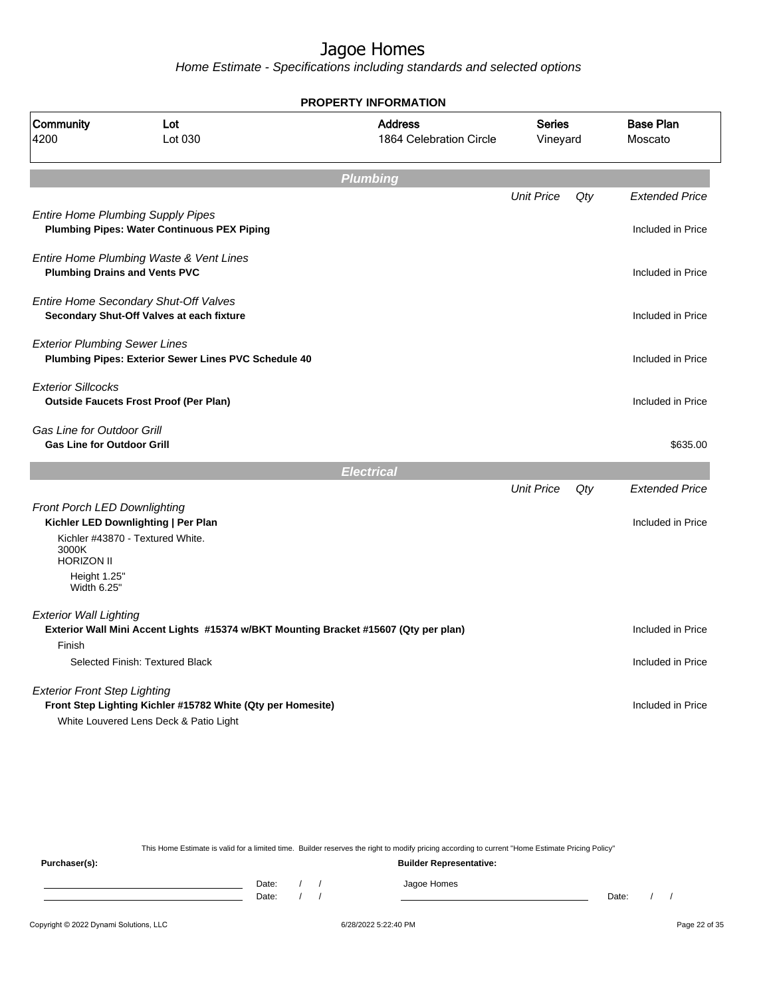Home Estimate - Specifications including standards and selected options

|                                                                        |                                                                                                       | <b>PROPERTY INFORMATION</b>               |                           |     |                             |
|------------------------------------------------------------------------|-------------------------------------------------------------------------------------------------------|-------------------------------------------|---------------------------|-----|-----------------------------|
| Community<br>4200                                                      | Lot<br>Lot 030                                                                                        | <b>Address</b><br>1864 Celebration Circle | <b>Series</b><br>Vineyard |     | <b>Base Plan</b><br>Moscato |
|                                                                        |                                                                                                       | <b>Plumbing</b>                           |                           |     |                             |
|                                                                        |                                                                                                       |                                           | <b>Unit Price</b>         | Qty | <b>Extended Price</b>       |
|                                                                        | <b>Entire Home Plumbing Supply Pipes</b><br><b>Plumbing Pipes: Water Continuous PEX Piping</b>        |                                           |                           |     | Included in Price           |
| <b>Plumbing Drains and Vents PVC</b>                                   | Entire Home Plumbing Waste & Vent Lines                                                               |                                           |                           |     | Included in Price           |
|                                                                        | Entire Home Secondary Shut-Off Valves<br>Secondary Shut-Off Valves at each fixture                    |                                           |                           |     | Included in Price           |
| <b>Exterior Plumbing Sewer Lines</b>                                   | Plumbing Pipes: Exterior Sewer Lines PVC Schedule 40                                                  |                                           |                           |     | Included in Price           |
| <b>Exterior Sillcocks</b>                                              | <b>Outside Faucets Frost Proof (Per Plan)</b>                                                         |                                           |                           |     | Included in Price           |
| <b>Gas Line for Outdoor Grill</b><br><b>Gas Line for Outdoor Grill</b> |                                                                                                       |                                           |                           |     | \$635.00                    |
|                                                                        |                                                                                                       | <b>Electrical</b>                         |                           |     |                             |
|                                                                        |                                                                                                       |                                           | <b>Unit Price</b>         | Qty | <b>Extended Price</b>       |
| Front Porch LED Downlighting<br>3000K<br><b>HORIZON II</b>             | Kichler LED Downlighting   Per Plan<br>Kichler #43870 - Textured White.                               |                                           |                           |     | Included in Price           |
| Height 1.25"<br>Width 6.25"                                            |                                                                                                       |                                           |                           |     |                             |
| <b>Exterior Wall Lighting</b>                                          | Exterior Wall Mini Accent Lights #15374 w/BKT Mounting Bracket #15607 (Qty per plan)                  |                                           |                           |     | Included in Price           |
| Finish                                                                 | Selected Finish: Textured Black                                                                       |                                           |                           |     | Included in Price           |
| <b>Exterior Front Step Lighting</b>                                    | Front Step Lighting Kichler #15782 White (Qty per Homesite)<br>White Louvered Lens Deck & Patio Light |                                           |                           |     | Included in Price           |
|                                                                        |                                                                                                       |                                           |                           |     |                             |

This Home Estimate is valid for a limited time. Builder reserves the right to modify pricing according to current "Home Estimate Pricing Policy"

**Purchaser(s): Builder Representative:** Date: / / Jagoe Homes<br>Date: / / Jagoe Homes Date: / / **Date: / / 2006** Date: / / / Date: / / / Date: / / / 2006 Date: / / / 2006 Date: / / / 2006 Date: / / / 2006 Date: / / / 2007 Date: / / / 2007 Date: / / / 2007 Date: / / / 2007 Date: / / / 2007 Date: / / / 2007 D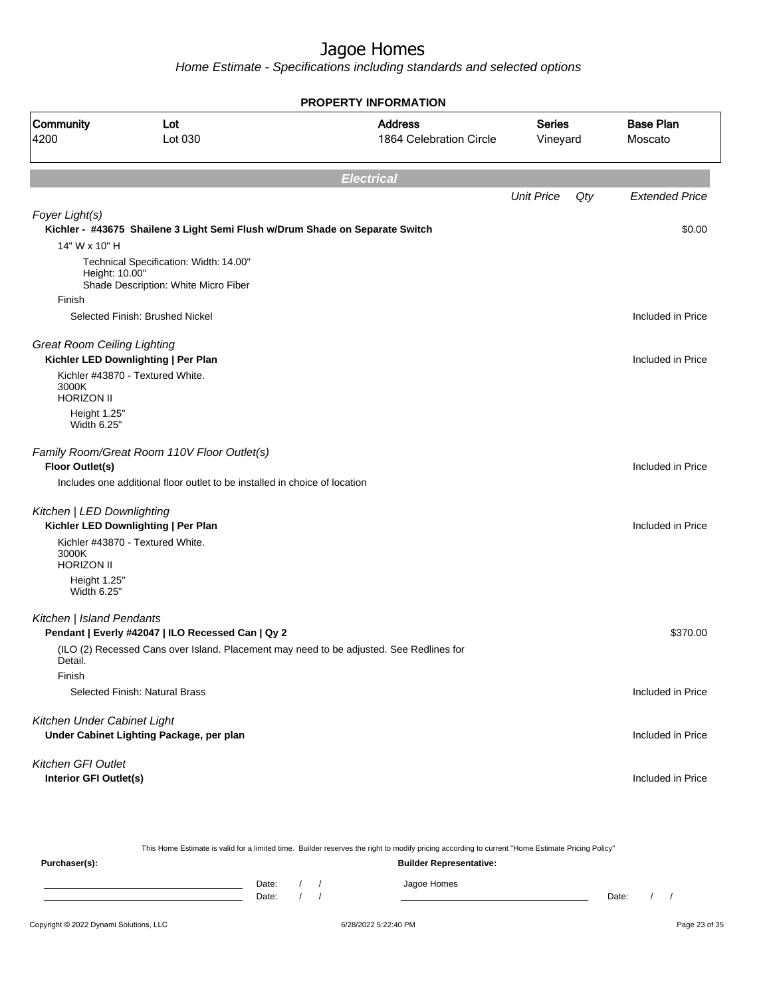Home Estimate - Specifications including standards and selected options

|                                                  |                                                                                | <b>PROPERTY INFORMATION</b>                                                                                                                      |                           |                             |
|--------------------------------------------------|--------------------------------------------------------------------------------|--------------------------------------------------------------------------------------------------------------------------------------------------|---------------------------|-----------------------------|
| Community<br>4200                                | Lot<br>Lot 030                                                                 | <b>Address</b><br>1864 Celebration Circle                                                                                                        | <b>Series</b><br>Vineyard | <b>Base Plan</b><br>Moscato |
|                                                  |                                                                                | <b>Electrical</b>                                                                                                                                |                           |                             |
|                                                  |                                                                                |                                                                                                                                                  | <b>Unit Price</b><br>Qty  | <b>Extended Price</b>       |
| Foyer Light(s)                                   | Kichler - #43675 Shailene 3 Light Semi Flush w/Drum Shade on Separate Switch   |                                                                                                                                                  |                           | \$0.00                      |
| 14" W x 10" H                                    |                                                                                |                                                                                                                                                  |                           |                             |
| Height: 10.00"                                   | Technical Specification: Width: 14.00"<br>Shade Description: White Micro Fiber |                                                                                                                                                  |                           |                             |
| Finish                                           |                                                                                |                                                                                                                                                  |                           |                             |
|                                                  | Selected Finish: Brushed Nickel                                                |                                                                                                                                                  |                           | Included in Price           |
| <b>Great Room Ceiling Lighting</b>               | Kichler LED Downlighting   Per Plan                                            |                                                                                                                                                  |                           | Included in Price           |
| 3000K                                            | Kichler #43870 - Textured White.                                               |                                                                                                                                                  |                           |                             |
| <b>HORIZON II</b><br>Height 1.25"<br>Width 6.25" |                                                                                |                                                                                                                                                  |                           |                             |
| <b>Floor Outlet(s)</b>                           | Family Room/Great Room 110V Floor Outlet(s)                                    |                                                                                                                                                  |                           | Included in Price           |
|                                                  | Includes one additional floor outlet to be installed in choice of location     |                                                                                                                                                  |                           |                             |
| Kitchen   LED Downlighting                       | Kichler LED Downlighting   Per Plan                                            |                                                                                                                                                  |                           | Included in Price           |
| 3000K<br><b>HORIZON II</b>                       | Kichler #43870 - Textured White.                                               |                                                                                                                                                  |                           |                             |
| Height 1.25"<br>Width 6.25"                      |                                                                                |                                                                                                                                                  |                           |                             |
| Kitchen   Island Pendants                        | Pendant   Everly #42047   ILO Recessed Can   Qy 2                              |                                                                                                                                                  |                           | \$370.00                    |
| Detail.                                          |                                                                                | (ILO (2) Recessed Cans over Island. Placement may need to be adjusted. See Redlines for                                                          |                           |                             |
| Finish                                           |                                                                                |                                                                                                                                                  |                           |                             |
|                                                  | Selected Finish: Natural Brass                                                 |                                                                                                                                                  |                           | Included in Price           |
| Kitchen Under Cabinet Light                      | Under Cabinet Lighting Package, per plan                                       |                                                                                                                                                  |                           | Included in Price           |
| Kitchen GFI Outlet                               |                                                                                |                                                                                                                                                  |                           |                             |
| Interior GFI Outlet(s)                           |                                                                                |                                                                                                                                                  |                           | Included in Price           |
|                                                  |                                                                                | This Home Estimate is valid for a limited time. Builder reserves the right to modify pricing according to current "Home Estimate Pricing Policy" |                           |                             |
| Purchaser(s):                                    |                                                                                | <b>Builder Representative:</b>                                                                                                                   |                           |                             |

Date: / / Jagoe Homes<br>Date: / / Jagoe Homes Date: / / Date: / /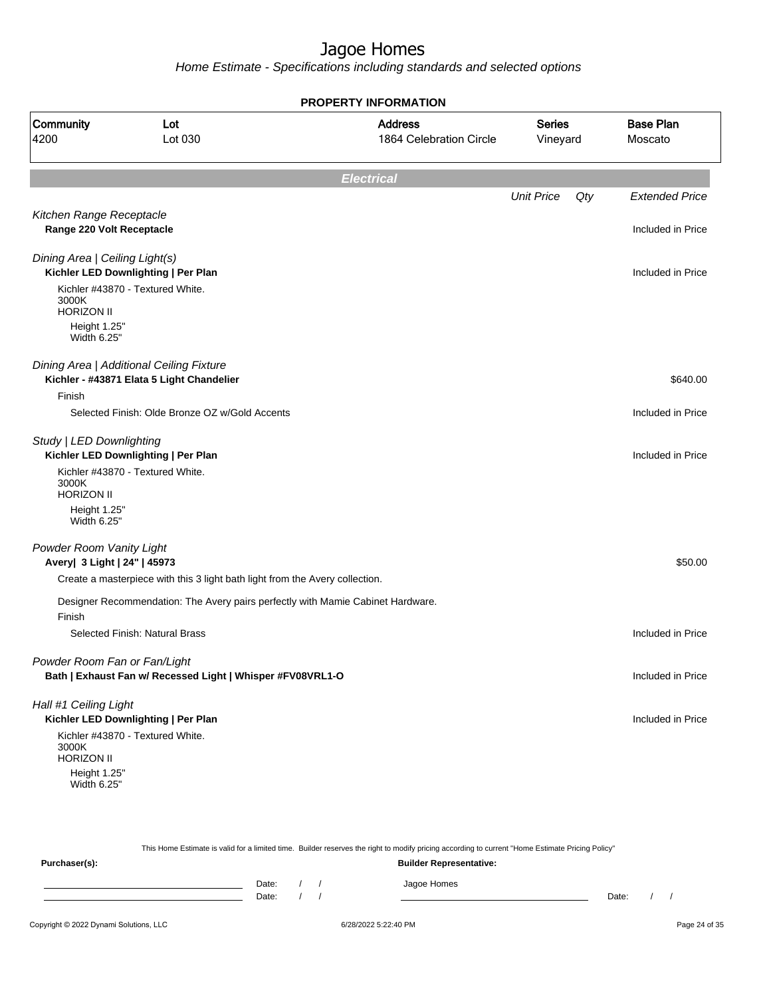Home Estimate - Specifications including standards and selected options

|                                |                                                                                 | <b>PROPERTY INFORMATION</b>               |                           |     |                             |
|--------------------------------|---------------------------------------------------------------------------------|-------------------------------------------|---------------------------|-----|-----------------------------|
| <b>Community</b><br>4200       | Lot<br>Lot 030                                                                  | <b>Address</b><br>1864 Celebration Circle | <b>Series</b><br>Vineyard |     | <b>Base Plan</b><br>Moscato |
|                                |                                                                                 | <b>Electrical</b>                         |                           |     |                             |
|                                |                                                                                 |                                           | <b>Unit Price</b>         | Qty | <b>Extended Price</b>       |
| Kitchen Range Receptacle       |                                                                                 |                                           |                           |     |                             |
| Range 220 Volt Receptacle      |                                                                                 |                                           |                           |     | Included in Price           |
| Dining Area   Ceiling Light(s) |                                                                                 |                                           |                           |     |                             |
|                                | Kichler LED Downlighting   Per Plan                                             |                                           |                           |     | Included in Price           |
| 3000K<br><b>HORIZON II</b>     | Kichler #43870 - Textured White.                                                |                                           |                           |     |                             |
| Height 1.25"<br>Width 6.25"    |                                                                                 |                                           |                           |     |                             |
|                                | Dining Area   Additional Ceiling Fixture                                        |                                           |                           |     |                             |
|                                | Kichler - #43871 Elata 5 Light Chandelier                                       |                                           |                           |     | \$640.00                    |
| Finish                         |                                                                                 |                                           |                           |     |                             |
|                                | Selected Finish: Olde Bronze OZ w/Gold Accents                                  |                                           |                           |     | Included in Price           |
| Study   LED Downlighting       |                                                                                 |                                           |                           |     |                             |
|                                | Kichler LED Downlighting   Per Plan                                             |                                           |                           |     | Included in Price           |
| 3000K                          | Kichler #43870 - Textured White.                                                |                                           |                           |     |                             |
| <b>HORIZON II</b>              |                                                                                 |                                           |                           |     |                             |
| Height 1.25"<br>Width 6.25"    |                                                                                 |                                           |                           |     |                             |
| Powder Room Vanity Light       |                                                                                 |                                           |                           |     |                             |
| Avery   3 Light   24"   45973  |                                                                                 |                                           |                           |     | \$50.00                     |
|                                | Create a masterpiece with this 3 light bath light from the Avery collection.    |                                           |                           |     |                             |
|                                | Designer Recommendation: The Avery pairs perfectly with Mamie Cabinet Hardware. |                                           |                           |     |                             |
| Finish                         |                                                                                 |                                           |                           |     |                             |
|                                | Selected Finish: Natural Brass                                                  |                                           |                           |     | Included in Price           |
| Powder Room Fan or Fan/Light   |                                                                                 |                                           |                           |     |                             |
|                                | Bath   Exhaust Fan w/ Recessed Light   Whisper #FV08VRL1-O                      |                                           |                           |     | Included in Price           |
| Hall #1 Ceiling Light          |                                                                                 |                                           |                           |     |                             |
|                                | Kichler LED Downlighting   Per Plan                                             |                                           |                           |     | Included in Price           |
| 3000K<br><b>HORIZON II</b>     | Kichler #43870 - Textured White.                                                |                                           |                           |     |                             |
| Height 1.25"                   |                                                                                 |                                           |                           |     |                             |
| Width 6.25"                    |                                                                                 |                                           |                           |     |                             |
|                                |                                                                                 |                                           |                           |     |                             |

|               |       |  |  | This Home Estimate is valid for a limited time. Builder reserves the right to modify pricing according to current "Home Estimate Pricing Policy" |       |  |
|---------------|-------|--|--|--------------------------------------------------------------------------------------------------------------------------------------------------|-------|--|
| Purchaser(s): |       |  |  | <b>Builder Representative:</b>                                                                                                                   |       |  |
|               | Date: |  |  | Jagoe Homes                                                                                                                                      |       |  |
|               | Date: |  |  |                                                                                                                                                  | Date: |  |
|               |       |  |  |                                                                                                                                                  |       |  |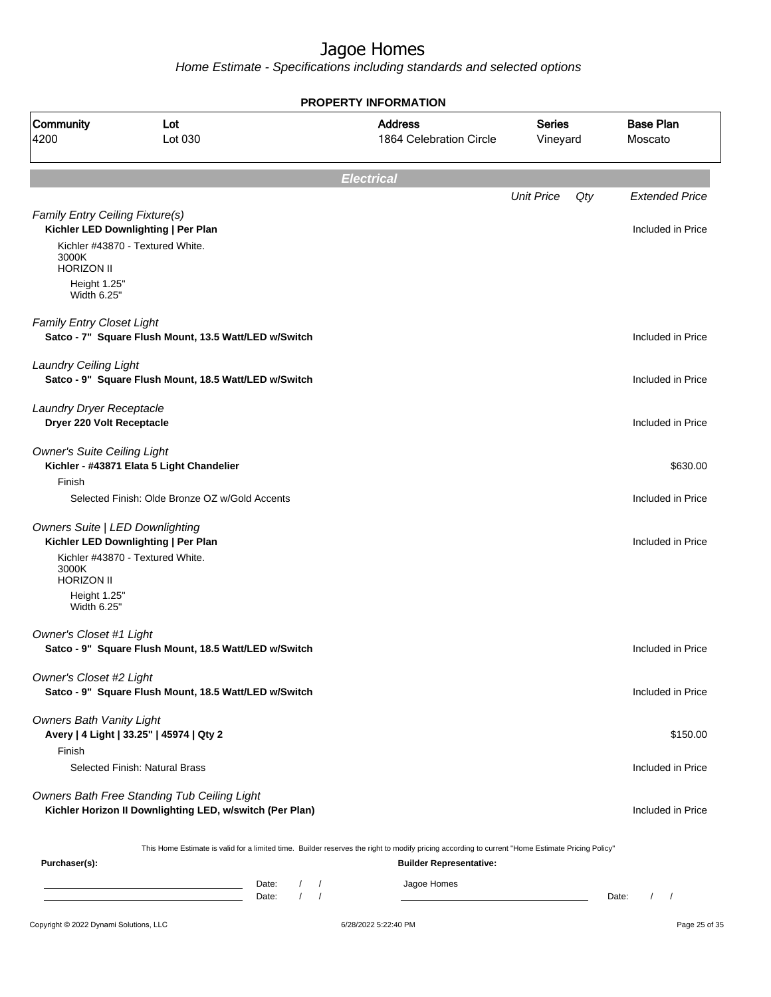Home Estimate - Specifications including standards and selected options

|                                                       |                                                                                                                                                  | <b>PROPERTY INFORMATION</b>               |                           |                             |
|-------------------------------------------------------|--------------------------------------------------------------------------------------------------------------------------------------------------|-------------------------------------------|---------------------------|-----------------------------|
| Community<br>4200                                     | Lot<br>Lot 030                                                                                                                                   | <b>Address</b><br>1864 Celebration Circle | <b>Series</b><br>Vineyard | <b>Base Plan</b><br>Moscato |
|                                                       |                                                                                                                                                  | <b>Electrical</b>                         |                           |                             |
|                                                       |                                                                                                                                                  |                                           | <b>Unit Price</b><br>Qty  | <b>Extended Price</b>       |
| Family Entry Ceiling Fixture(s)                       | Kichler LED Downlighting   Per Plan                                                                                                              |                                           |                           | Included in Price           |
| 3000K<br><b>HORIZON II</b>                            | Kichler #43870 - Textured White.                                                                                                                 |                                           |                           |                             |
| Height 1.25"<br>Width 6.25"                           |                                                                                                                                                  |                                           |                           |                             |
| Family Entry Closet Light                             | Satco - 7" Square Flush Mount, 13.5 Watt/LED w/Switch                                                                                            |                                           |                           | Included in Price           |
| <b>Laundry Ceiling Light</b>                          | Satco - 9" Square Flush Mount, 18.5 Watt/LED w/Switch                                                                                            |                                           |                           | Included in Price           |
| Laundry Dryer Receptacle<br>Dryer 220 Volt Receptacle |                                                                                                                                                  |                                           |                           | Included in Price           |
| <b>Owner's Suite Ceiling Light</b>                    | Kichler - #43871 Elata 5 Light Chandelier                                                                                                        |                                           |                           | \$630.00                    |
| Finish                                                | Selected Finish: Olde Bronze OZ w/Gold Accents                                                                                                   |                                           |                           | Included in Price           |
| <b>Owners Suite   LED Downlighting</b>                | Kichler LED Downlighting   Per Plan                                                                                                              |                                           |                           | Included in Price           |
| 3000K<br><b>HORIZON II</b>                            | Kichler #43870 - Textured White.                                                                                                                 |                                           |                           |                             |
| Height 1.25"<br>Width 6.25"                           |                                                                                                                                                  |                                           |                           |                             |
| <b>Owner's Closet #1 Light</b>                        | Satco - 9" Square Flush Mount, 18.5 Watt/LED w/Switch                                                                                            |                                           |                           | Included in Price           |
| Owner's Closet #2 Light                               | Satco - 9" Square Flush Mount, 18.5 Watt/LED w/Switch                                                                                            |                                           |                           | Included in Price           |
| <b>Owners Bath Vanity Light</b>                       | Avery   4 Light   33.25"   45974   Qty 2                                                                                                         |                                           |                           | \$150.00                    |
| Finish                                                | Selected Finish: Natural Brass                                                                                                                   |                                           |                           | Included in Price           |
|                                                       | Owners Bath Free Standing Tub Ceiling Light<br>Kichler Horizon II Downlighting LED, w/switch (Per Plan)                                          |                                           |                           | Included in Price           |
| Purchaser(s):                                         | This Home Estimate is valid for a limited time. Builder reserves the right to modify pricing according to current "Home Estimate Pricing Policy" | <b>Builder Representative:</b>            |                           |                             |
|                                                       | D <sub>0</sub>                                                                                                                                   | ممجمول ممجما                              |                           |                             |

Copyright © 2022 Dynami Solutions, LLC <br>
6/28/2022 5:22:40 PM Page 25 of 35 Date: / / Jagoe Homes<br>Date: / / Jagoe Homes Date: / / Date: / /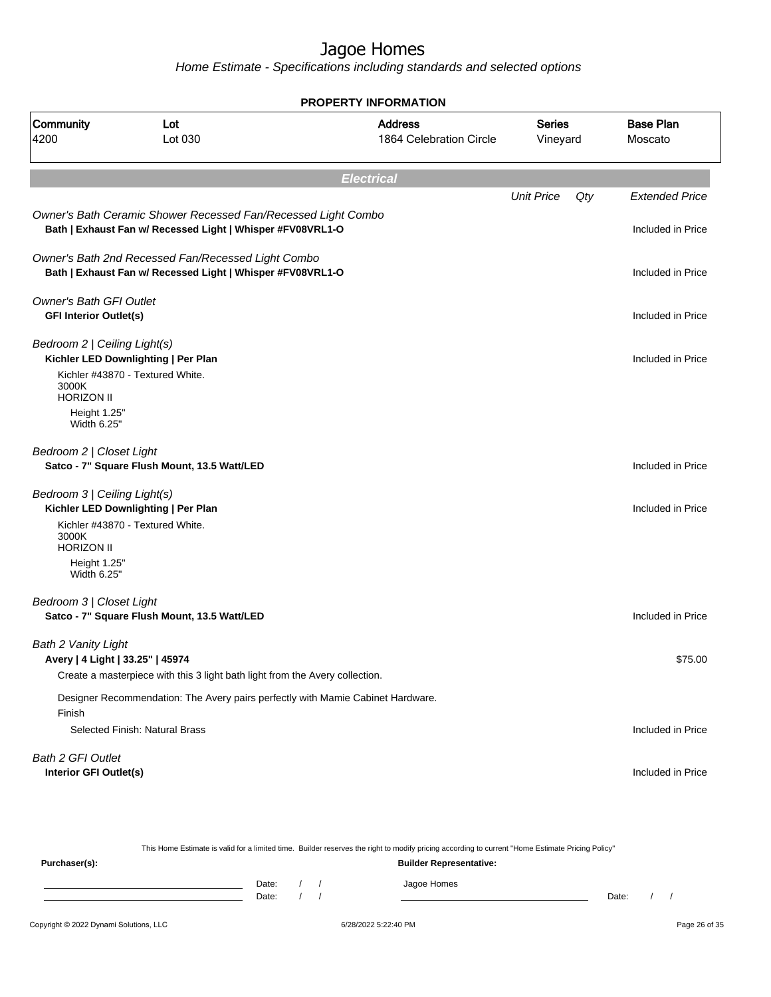Home Estimate - Specifications including standards and selected options

**Electrical** Unit Price Qty Extended Price Owner's Bath Ceramic Shower Recessed Fan/Recessed Light Combo **Bath | Exhaust Fan w/ Recessed Light | Whisper #FV08VRL1-O Included in Price** Included in Price Owner's Bath 2nd Recessed Fan/Recessed Light Combo **Bath | Exhaust Fan w/ Recessed Light | Whisper #FV08VRL1-O Included in Price** Included in Price Owner's Bath GFI Outlet **GFI Interior Outlet(s)** Included in Price Bedroom 2 | Ceiling Light(s) **Kichler LED Downlighting | Per Plan** Included in Price **Included in Price** Kichler #43870 - Textured White. 3000K HORIZON II Height 1.25" Width 6.25" Bedroom 2 | Closet Light **Satco - 7" Square Flush Mount, 13.5 Watt/LED Included in Price Included in Price** Bedroom 3 | Ceiling Light(s) **Kichler LED Downlighting | Per Plan** Included in Price Kichler #43870 - Textured White. 3000K HORIZON II Height 1.25" Width 6.25" Bedroom 3 | Closet Light **Satco - 7" Square Flush Mount, 13.5 Watt/LED Included in Price Included in Price** Bath 2 Vanity Light **Avery | 4 Light | 33.25" | 45974** \$75.00 Create a masterpiece with this 3 light bath light from the Avery collection. Designer Recommendation: The Avery pairs perfectly with Mamie Cabinet Hardware. Finish Selected Finish: Natural Brass Included in Price Bath 2 GFI Outlet **Interior GFI Outlet(s)** Included in Price **PROPERTY INFORMATION** Vineyard Series 1864 Celebration Circle Address 4200 Lot 030 Community Lot Moscato Base Plan

|               |       |  | This Home Estimate is valid for a limited time. Builder reserves the right to modify pricing according to current "Home Estimate Pricing Policy" |       |  |
|---------------|-------|--|--------------------------------------------------------------------------------------------------------------------------------------------------|-------|--|
| Purchaser(s): |       |  | <b>Builder Representative:</b>                                                                                                                   |       |  |
|               | Date: |  | Jagoe Homes                                                                                                                                      |       |  |
|               | Date: |  |                                                                                                                                                  | Date: |  |
|               |       |  |                                                                                                                                                  |       |  |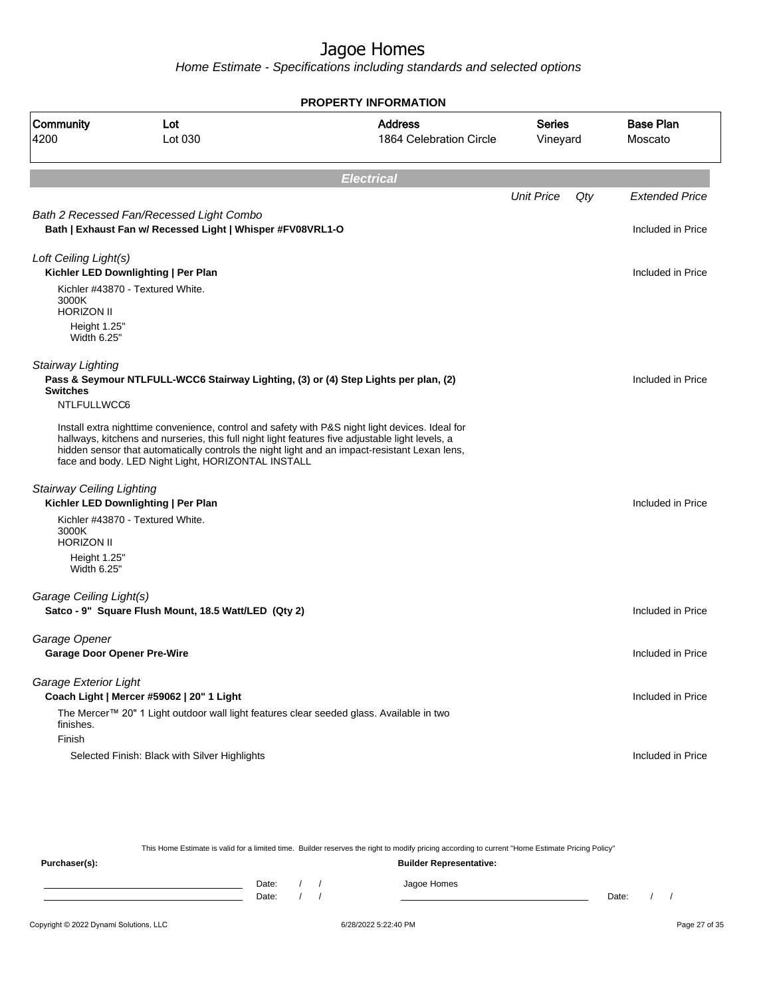Home Estimate - Specifications including standards and selected options

**Electrical** Unit Price Qty Extended Price Bath 2 Recessed Fan/Recessed Light Combo **Bath | Exhaust Fan w/ Recessed Light | Whisper #FV08VRL1-O Included in Price** Included in Price Loft Ceiling Light(s) **Kichler LED Downlighting | Per Plan** Included in Price **Included in Price** Kichler #43870 - Textured White. 3000K HORIZON II Height 1.25" Width 6.25" Stairway Lighting **Pass & Seymour NTLFULL-WCC6 Stairway Lighting, (3) or (4) Step Lights per plan, (2) Switches** Included in Price NTLFULLWCC6 Install extra nighttime convenience, control and safety with P&S night light devices. Ideal for hallways, kitchens and nurseries, this full night light features five adjustable light levels, a hidden sensor that automatically controls the night light and an impact-resistant Lexan lens, face and body. LED Night Light, HORIZONTAL INSTALL Stairway Ceiling Lighting **Kichler LED Downlighting | Per Plan Included in Price** Kichler #43870 - Textured White. 3000K HORIZON II Height 1.25" Width 6.25" Garage Ceiling Light(s) **Satco - 9" Square Flush Mount, 18.5 Watt/LED (Qty 2) Included in Price Included in Price** Garage Opener **Garage Door Opener Pre-Wire** Included in Price Included in Price Included in Price Garage Exterior Light **Coach Light | Mercer #59062 | 20" 1 Light** Included in Price The Mercer™ 20" 1 Light outdoor wall light features clear seeded glass. Available in two finishes. Finish Selected Finish: Black with Silver Highlights Included in Price **PROPERTY INFORMATION** Vineyard Series 1864 Celebration Circle Address 4200 Lot 030 Community Lot Moscato Base Plan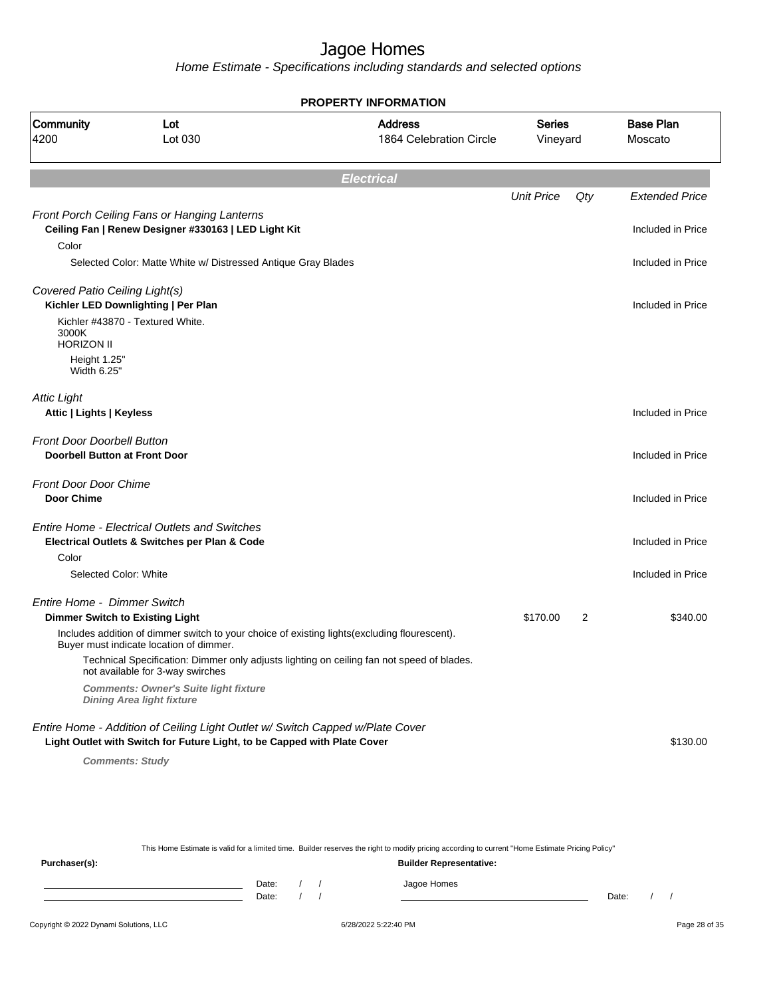Home Estimate - Specifications including standards and selected options

|                                                                           |                                                                                                                                         | <b>PROPERTY INFORMATION</b>               |                           |     |                             |
|---------------------------------------------------------------------------|-----------------------------------------------------------------------------------------------------------------------------------------|-------------------------------------------|---------------------------|-----|-----------------------------|
| Community<br>4200                                                         | Lot<br>Lot 030                                                                                                                          | <b>Address</b><br>1864 Celebration Circle | <b>Series</b><br>Vineyard |     | <b>Base Plan</b><br>Moscato |
|                                                                           |                                                                                                                                         | <b>Electrical</b>                         |                           |     |                             |
|                                                                           |                                                                                                                                         |                                           | <b>Unit Price</b>         | Qty | <b>Extended Price</b>       |
|                                                                           | Front Porch Ceiling Fans or Hanging Lanterns<br>Ceiling Fan   Renew Designer #330163   LED Light Kit                                    |                                           |                           |     | Included in Price           |
| Color                                                                     |                                                                                                                                         |                                           |                           |     |                             |
|                                                                           | Selected Color: Matte White w/ Distressed Antique Gray Blades                                                                           |                                           |                           |     | Included in Price           |
| Covered Patio Ceiling Light(s)                                            | Kichler LED Downlighting   Per Plan                                                                                                     |                                           |                           |     | Included in Price           |
| 3000K<br><b>HORIZON II</b>                                                | Kichler #43870 - Textured White.                                                                                                        |                                           |                           |     |                             |
| Height 1.25"<br>Width 6.25"                                               |                                                                                                                                         |                                           |                           |     |                             |
| <b>Attic Light</b><br>Attic   Lights   Keyless                            |                                                                                                                                         |                                           |                           |     | Included in Price           |
| <b>Front Door Doorbell Button</b><br><b>Doorbell Button at Front Door</b> |                                                                                                                                         |                                           |                           |     | Included in Price           |
| <b>Front Door Door Chime</b><br><b>Door Chime</b>                         |                                                                                                                                         |                                           |                           |     | Included in Price           |
|                                                                           | <b>Entire Home - Electrical Outlets and Switches</b><br>Electrical Outlets & Switches per Plan & Code                                   |                                           |                           |     | Included in Price           |
| Color                                                                     |                                                                                                                                         |                                           |                           |     |                             |
|                                                                           | Selected Color: White                                                                                                                   |                                           |                           |     | Included in Price           |
| Entire Home - Dimmer Switch                                               | <b>Dimmer Switch to Existing Light</b>                                                                                                  |                                           | \$170.00                  | 2   | \$340.00                    |
|                                                                           | Includes addition of dimmer switch to your choice of existing lights(excluding flourescent).<br>Buyer must indicate location of dimmer. |                                           |                           |     |                             |
|                                                                           | Technical Specification: Dimmer only adjusts lighting on ceiling fan not speed of blades.<br>not available for 3-way swirches           |                                           |                           |     |                             |
|                                                                           | <b>Comments: Owner's Suite light fixture</b><br><b>Dining Area light fixture</b>                                                        |                                           |                           |     |                             |
|                                                                           | Entire Home - Addition of Ceiling Light Outlet w/ Switch Capped w/Plate Cover                                                           |                                           |                           |     |                             |
|                                                                           | Light Outlet with Switch for Future Light, to be Capped with Plate Cover                                                                |                                           |                           |     | \$130.00                    |
|                                                                           | <b>Comments: Study</b>                                                                                                                  |                                           |                           |     |                             |

This Home Estimate is valid for a limited time. Builder reserves the right to modify pricing according to current "Home Estimate Pricing Policy"

**Purchaser(s): Builder Representative:** Date: / / Jagoe Homes<br>Date: / / Jagoe Homes Date: / / **Date: / / 2006** Date: / / / Date: / / /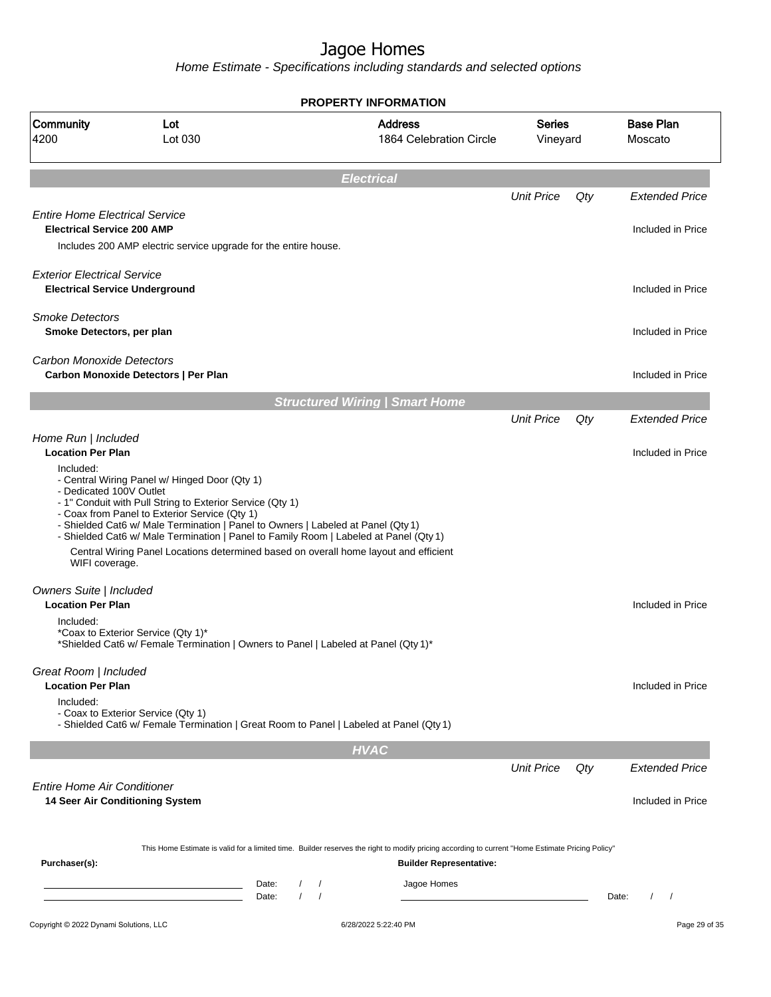Home Estimate - Specifications including standards and selected options

| 1864 Celebration Circle<br><b>Electrical</b><br><b>Structured Wiring   Smart Home</b><br>- Shielded Cat6 w/ Male Termination   Panel to Owners   Labeled at Panel (Qty 1)<br>- Shielded Cat6 w/ Male Termination   Panel to Family Room   Labeled at Panel (Qty 1)<br>Central Wiring Panel Locations determined based on overall home layout and efficient | Vineyard<br><b>Unit Price</b><br><b>Unit Price</b>                                                    | Qty<br>Qty | Moscato                                                                                                                                                 |
|------------------------------------------------------------------------------------------------------------------------------------------------------------------------------------------------------------------------------------------------------------------------------------------------------------------------------------------------------------|-------------------------------------------------------------------------------------------------------|------------|---------------------------------------------------------------------------------------------------------------------------------------------------------|
|                                                                                                                                                                                                                                                                                                                                                            |                                                                                                       |            | <b>Extended Price</b><br>Included in Price<br>Included in Price<br>Included in Price<br>Included in Price<br><b>Extended Price</b><br>Included in Price |
|                                                                                                                                                                                                                                                                                                                                                            |                                                                                                       |            |                                                                                                                                                         |
|                                                                                                                                                                                                                                                                                                                                                            |                                                                                                       |            |                                                                                                                                                         |
|                                                                                                                                                                                                                                                                                                                                                            |                                                                                                       |            |                                                                                                                                                         |
|                                                                                                                                                                                                                                                                                                                                                            |                                                                                                       |            |                                                                                                                                                         |
|                                                                                                                                                                                                                                                                                                                                                            |                                                                                                       |            |                                                                                                                                                         |
|                                                                                                                                                                                                                                                                                                                                                            |                                                                                                       |            |                                                                                                                                                         |
|                                                                                                                                                                                                                                                                                                                                                            |                                                                                                       |            |                                                                                                                                                         |
|                                                                                                                                                                                                                                                                                                                                                            |                                                                                                       |            |                                                                                                                                                         |
| *Shielded Cat6 w/ Female Termination   Owners to Panel   Labeled at Panel (Qty 1)*                                                                                                                                                                                                                                                                         |                                                                                                       |            | Included in Price<br>Included in Price                                                                                                                  |
|                                                                                                                                                                                                                                                                                                                                                            |                                                                                                       |            |                                                                                                                                                         |
|                                                                                                                                                                                                                                                                                                                                                            |                                                                                                       |            |                                                                                                                                                         |
|                                                                                                                                                                                                                                                                                                                                                            | <b>Unit Price</b>                                                                                     | Qty        | <b>Extended Price</b><br>Included in Price                                                                                                              |
| <b>Builder Representative:</b>                                                                                                                                                                                                                                                                                                                             |                                                                                                       |            |                                                                                                                                                         |
| Jagoe Homes                                                                                                                                                                                                                                                                                                                                                |                                                                                                       | Date:      | $\prime$<br>$\prime$                                                                                                                                    |
|                                                                                                                                                                                                                                                                                                                                                            | - Shielded Cat6 w/ Female Termination   Great Room to Panel   Labeled at Panel (Qty 1)<br><b>HVAC</b> |            | This Home Estimate is valid for a limited time. Builder reserves the right to modify pricing according to current "Home Estimate Pricing Policy"        |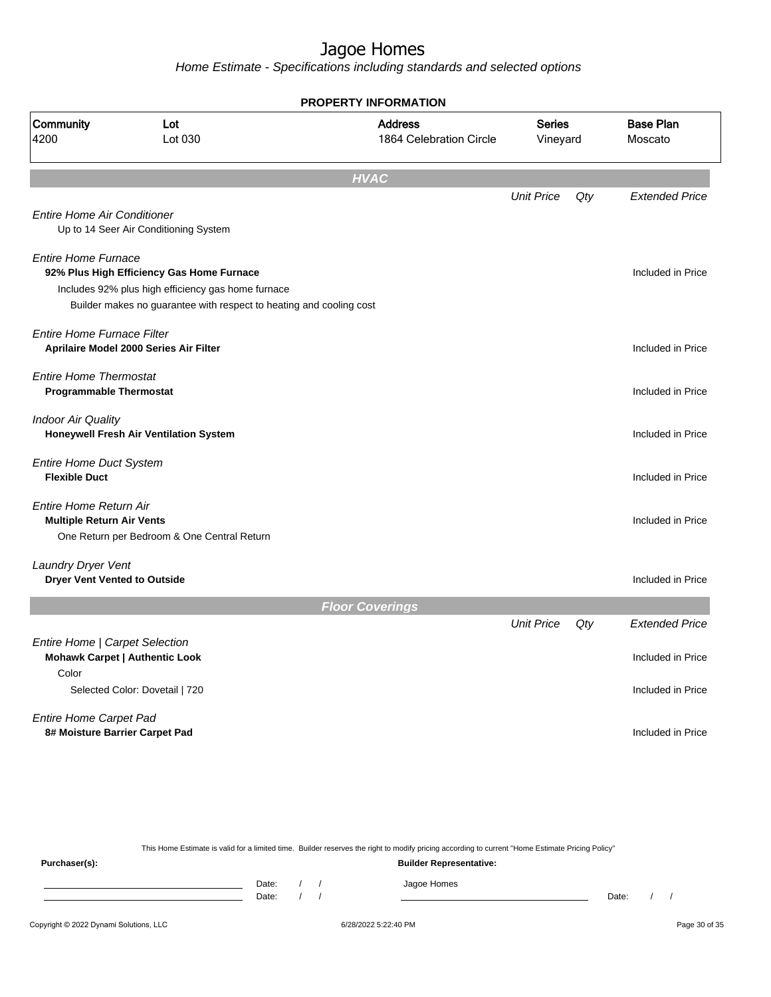Home Estimate - Specifications including standards and selected options

|                                                                 |                                                                     | <b>PROPERTY INFORMATION</b>               |                           |     |                             |
|-----------------------------------------------------------------|---------------------------------------------------------------------|-------------------------------------------|---------------------------|-----|-----------------------------|
| Community<br>4200                                               | Lot<br>Lot 030                                                      | <b>Address</b><br>1864 Celebration Circle | <b>Series</b><br>Vineyard |     | <b>Base Plan</b><br>Moscato |
|                                                                 |                                                                     | <b>HVAC</b>                               |                           |     |                             |
|                                                                 |                                                                     |                                           | <b>Unit Price</b>         | Qty | <b>Extended Price</b>       |
| <b>Entire Home Air Conditioner</b>                              | Up to 14 Seer Air Conditioning System                               |                                           |                           |     |                             |
| <b>Entire Home Furnace</b>                                      | 92% Plus High Efficiency Gas Home Furnace                           |                                           |                           |     | Included in Price           |
|                                                                 | Includes 92% plus high efficiency gas home furnace                  |                                           |                           |     |                             |
|                                                                 | Builder makes no guarantee with respect to heating and cooling cost |                                           |                           |     |                             |
| <b>Entire Home Furnace Filter</b>                               | Aprilaire Model 2000 Series Air Filter                              |                                           |                           |     | Included in Price           |
| <b>Entire Home Thermostat</b><br><b>Programmable Thermostat</b> |                                                                     |                                           |                           |     | Included in Price           |
| <b>Indoor Air Quality</b>                                       | Honeywell Fresh Air Ventilation System                              |                                           |                           |     | Included in Price           |
| <b>Entire Home Duct System</b><br><b>Flexible Duct</b>          |                                                                     |                                           |                           |     | Included in Price           |
| Entire Home Return Air<br><b>Multiple Return Air Vents</b>      | One Return per Bedroom & One Central Return                         |                                           |                           |     | Included in Price           |
| Laundry Dryer Vent<br><b>Dryer Vent Vented to Outside</b>       |                                                                     |                                           |                           |     | Included in Price           |
|                                                                 |                                                                     | <b>Floor Coverings</b>                    |                           |     |                             |
|                                                                 |                                                                     |                                           | <b>Unit Price</b>         | Qty | <b>Extended Price</b>       |
| Entire Home   Carpet Selection                                  | <b>Mohawk Carpet   Authentic Look</b>                               |                                           |                           |     | Included in Price           |
| Color                                                           | Selected Color: Dovetail   720                                      |                                           |                           |     | Included in Price           |
| <b>Entire Home Carpet Pad</b><br>8# Moisture Barrier Carpet Pad |                                                                     |                                           |                           |     | Included in Price           |
|                                                                 |                                                                     |                                           |                           |     |                             |

This Home Estimate is valid for a limited time. Builder reserves the right to modify pricing according to current "Home Estimate Pricing Policy"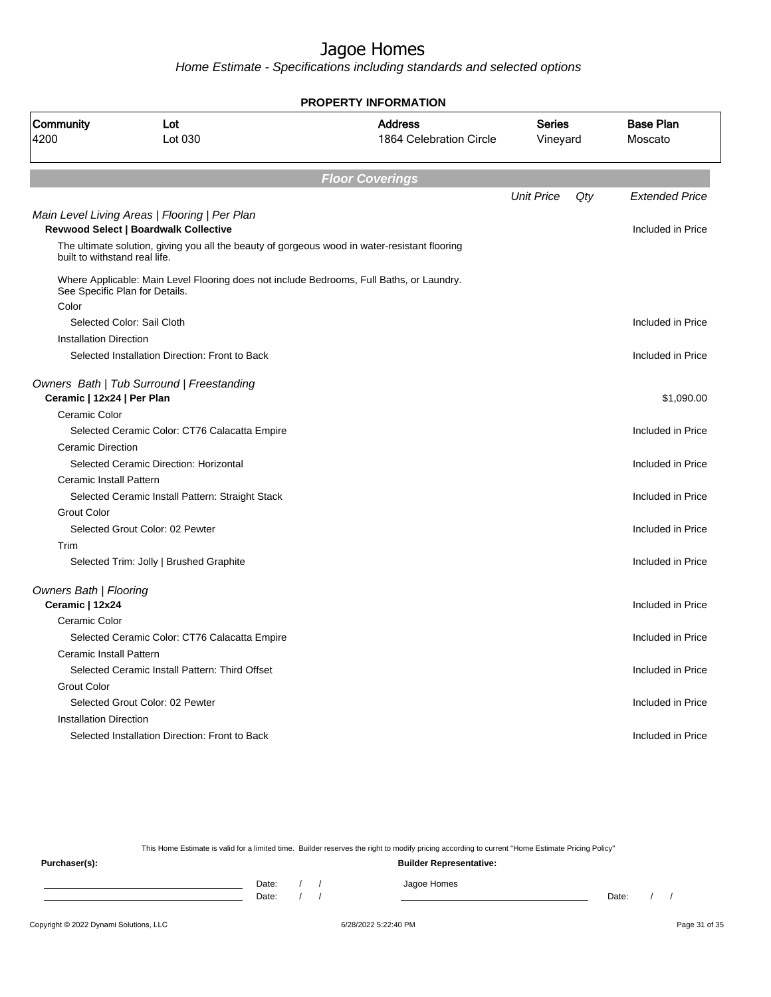Home Estimate - Specifications including standards and selected options

|                                         |                                                                                               | <b>PROPERTY INFORMATION</b>               |                           |     |                             |
|-----------------------------------------|-----------------------------------------------------------------------------------------------|-------------------------------------------|---------------------------|-----|-----------------------------|
| Community<br>4200                       | Lot<br>Lot 030                                                                                | <b>Address</b><br>1864 Celebration Circle | <b>Series</b><br>Vineyard |     | <b>Base Plan</b><br>Moscato |
|                                         |                                                                                               | <b>Floor Coverings</b>                    |                           |     |                             |
|                                         |                                                                                               |                                           | <b>Unit Price</b>         | Qty | <b>Extended Price</b>       |
|                                         | Main Level Living Areas   Flooring   Per Plan<br><b>Revwood Select   Boardwalk Collective</b> |                                           |                           |     | Included in Price           |
| built to withstand real life.           | The ultimate solution, giving you all the beauty of gorgeous wood in water-resistant flooring |                                           |                           |     |                             |
| See Specific Plan for Details.<br>Color | Where Applicable: Main Level Flooring does not include Bedrooms, Full Baths, or Laundry.      |                                           |                           |     |                             |
|                                         | Selected Color: Sail Cloth                                                                    |                                           |                           |     | Included in Price           |
| <b>Installation Direction</b>           |                                                                                               |                                           |                           |     |                             |
|                                         | Selected Installation Direction: Front to Back                                                |                                           |                           |     | Included in Price           |
| Ceramic   12x24   Per Plan              | Owners Bath   Tub Surround   Freestanding                                                     |                                           |                           |     | \$1,090.00                  |
| Ceramic Color                           |                                                                                               |                                           |                           |     |                             |
|                                         | Selected Ceramic Color: CT76 Calacatta Empire                                                 |                                           |                           |     | Included in Price           |
| <b>Ceramic Direction</b>                |                                                                                               |                                           |                           |     |                             |
|                                         | Selected Ceramic Direction: Horizontal                                                        |                                           |                           |     | Included in Price           |
| Ceramic Install Pattern                 |                                                                                               |                                           |                           |     |                             |
|                                         | Selected Ceramic Install Pattern: Straight Stack                                              |                                           |                           |     | Included in Price           |
| <b>Grout Color</b>                      |                                                                                               |                                           |                           |     |                             |
|                                         | Selected Grout Color: 02 Pewter                                                               |                                           |                           |     | Included in Price           |
| Trim                                    |                                                                                               |                                           |                           |     |                             |
|                                         | Selected Trim: Jolly   Brushed Graphite                                                       |                                           |                           |     | Included in Price           |
| <b>Owners Bath   Flooring</b>           |                                                                                               |                                           |                           |     |                             |
| Ceramic   12x24                         |                                                                                               |                                           |                           |     | Included in Price           |
| Ceramic Color                           |                                                                                               |                                           |                           |     |                             |
|                                         | Selected Ceramic Color: CT76 Calacatta Empire                                                 |                                           |                           |     | Included in Price           |
| <b>Ceramic Install Pattern</b>          |                                                                                               |                                           |                           |     |                             |
|                                         | Selected Ceramic Install Pattern: Third Offset                                                |                                           |                           |     | Included in Price           |
| <b>Grout Color</b>                      |                                                                                               |                                           |                           |     |                             |
|                                         | Selected Grout Color: 02 Pewter                                                               |                                           |                           |     | Included in Price           |
| <b>Installation Direction</b>           |                                                                                               |                                           |                           |     |                             |
|                                         | Selected Installation Direction: Front to Back                                                |                                           |                           |     | Included in Price           |

This Home Estimate is valid for a limited time. Builder reserves the right to modify pricing according to current "Home Estimate Pricing Policy"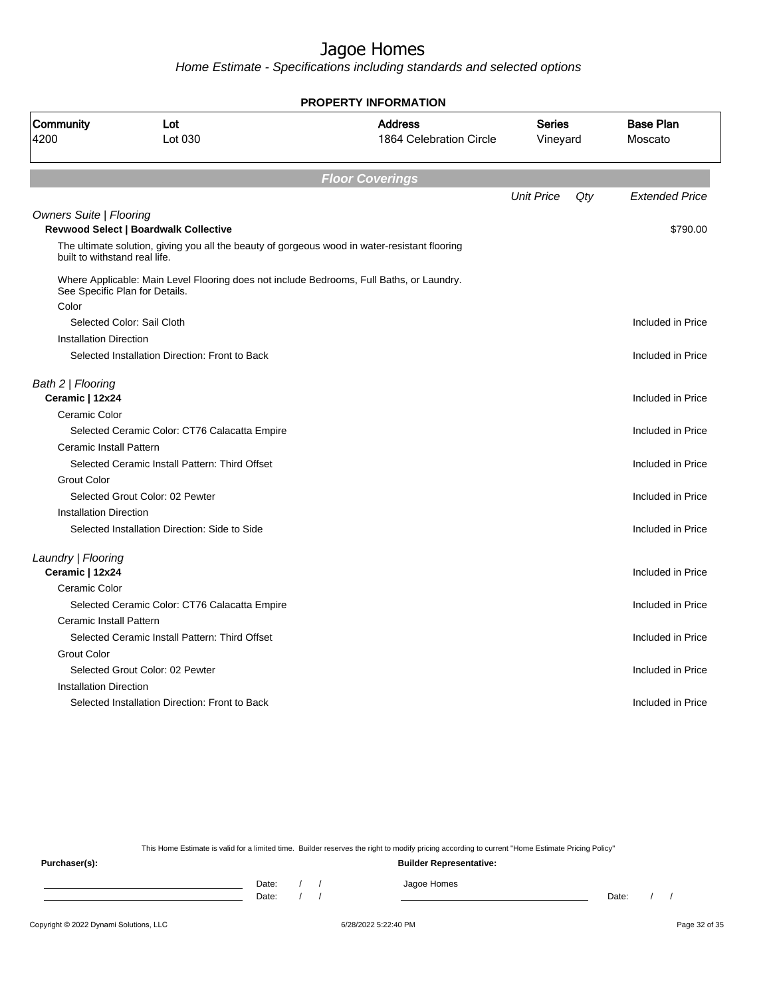Home Estimate - Specifications including standards and selected options

|                                      |                                                                                               | <b>PROPERTY INFORMATION</b>               |                           |        |                             |
|--------------------------------------|-----------------------------------------------------------------------------------------------|-------------------------------------------|---------------------------|--------|-----------------------------|
| Community<br>4200                    | Lot<br>Lot 030                                                                                | <b>Address</b><br>1864 Celebration Circle | <b>Series</b><br>Vineyard |        | <b>Base Plan</b><br>Moscato |
|                                      |                                                                                               | <b>Floor Coverings</b>                    |                           |        |                             |
|                                      |                                                                                               |                                           | <b>Unit Price</b>         | $Q$ ty | <b>Extended Price</b>       |
| <b>Owners Suite   Flooring</b>       | <b>Revwood Select   Boardwalk Collective</b>                                                  |                                           |                           |        | \$790.00                    |
| built to withstand real life.        | The ultimate solution, giving you all the beauty of gorgeous wood in water-resistant flooring |                                           |                           |        |                             |
| See Specific Plan for Details.       | Where Applicable: Main Level Flooring does not include Bedrooms, Full Baths, or Laundry.      |                                           |                           |        |                             |
| Color                                |                                                                                               |                                           |                           |        |                             |
|                                      | Selected Color: Sail Cloth                                                                    |                                           |                           |        | Included in Price           |
| <b>Installation Direction</b>        |                                                                                               |                                           |                           |        |                             |
|                                      | Selected Installation Direction: Front to Back                                                |                                           |                           |        | Included in Price           |
| Bath 2   Flooring<br>Ceramic   12x24 |                                                                                               |                                           |                           |        | Included in Price           |
| Ceramic Color                        |                                                                                               |                                           |                           |        |                             |
|                                      | Selected Ceramic Color: CT76 Calacatta Empire                                                 |                                           |                           |        | Included in Price           |
| <b>Ceramic Install Pattern</b>       |                                                                                               |                                           |                           |        |                             |
|                                      | Selected Ceramic Install Pattern: Third Offset                                                |                                           |                           |        | Included in Price           |
| <b>Grout Color</b>                   |                                                                                               |                                           |                           |        |                             |
|                                      | Selected Grout Color: 02 Pewter                                                               |                                           |                           |        | Included in Price           |
| Installation Direction               |                                                                                               |                                           |                           |        |                             |
|                                      | Selected Installation Direction: Side to Side                                                 |                                           |                           |        | Included in Price           |
| Laundry   Flooring                   |                                                                                               |                                           |                           |        |                             |
| Ceramic   12x24                      |                                                                                               |                                           |                           |        | Included in Price           |
| Ceramic Color                        |                                                                                               |                                           |                           |        |                             |
|                                      | Selected Ceramic Color: CT76 Calacatta Empire                                                 |                                           |                           |        | Included in Price           |
| Ceramic Install Pattern              |                                                                                               |                                           |                           |        |                             |
|                                      | Selected Ceramic Install Pattern: Third Offset                                                |                                           |                           |        | Included in Price           |
| <b>Grout Color</b>                   |                                                                                               |                                           |                           |        |                             |
|                                      | Selected Grout Color: 02 Pewter                                                               |                                           |                           |        | Included in Price           |
| <b>Installation Direction</b>        |                                                                                               |                                           |                           |        |                             |
|                                      | Selected Installation Direction: Front to Back                                                |                                           |                           |        | Included in Price           |
|                                      |                                                                                               |                                           |                           |        |                             |

This Home Estimate is valid for a limited time. Builder reserves the right to modify pricing according to current "Home Estimate Pricing Policy"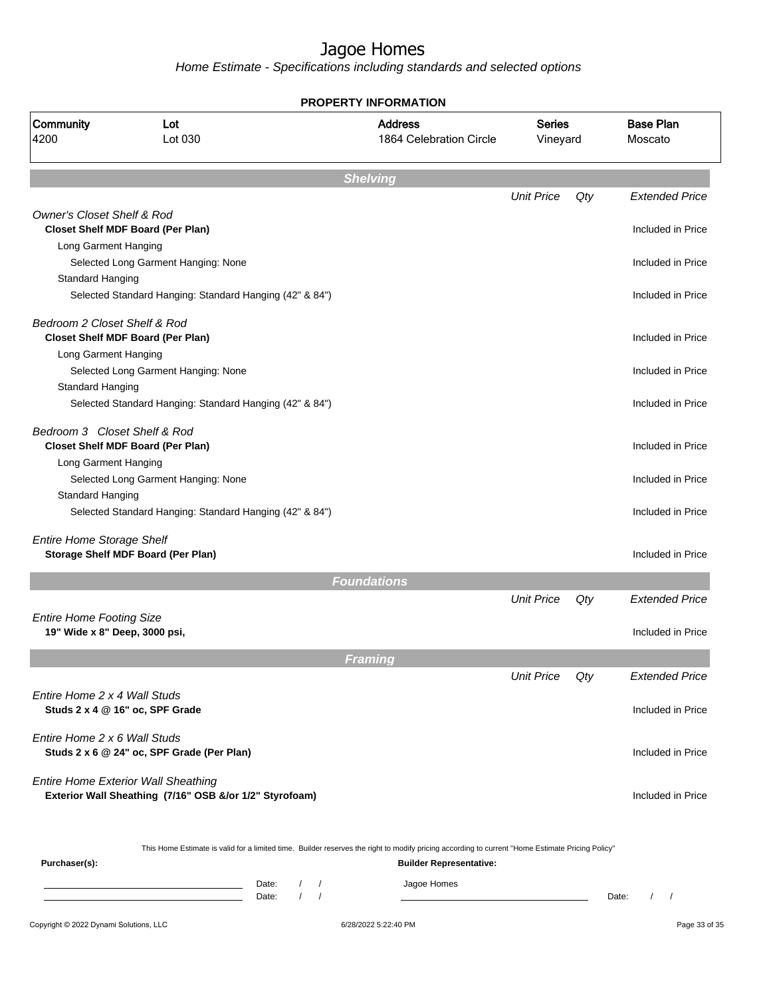Home Estimate - Specifications including standards and selected options

|                                       |                                                                                                                                                  | <b>PROPERTY INFORMATION</b>               |                           |     |                                               |
|---------------------------------------|--------------------------------------------------------------------------------------------------------------------------------------------------|-------------------------------------------|---------------------------|-----|-----------------------------------------------|
| Community<br>4200                     | Lot<br>Lot 030                                                                                                                                   | <b>Address</b><br>1864 Celebration Circle | <b>Series</b><br>Vineyard |     | <b>Base Plan</b><br>Moscato                   |
|                                       |                                                                                                                                                  | <b>Shelving</b>                           |                           |     |                                               |
|                                       |                                                                                                                                                  |                                           | <b>Unit Price</b>         | Qty | <b>Extended Price</b>                         |
| <b>Owner's Closet Shelf &amp; Rod</b> |                                                                                                                                                  |                                           |                           |     |                                               |
|                                       | <b>Closet Shelf MDF Board (Per Plan)</b>                                                                                                         |                                           |                           |     | Included in Price                             |
| Long Garment Hanging                  |                                                                                                                                                  |                                           |                           |     |                                               |
|                                       | Selected Long Garment Hanging: None                                                                                                              |                                           |                           |     | Included in Price                             |
| Standard Hanging                      |                                                                                                                                                  |                                           |                           |     |                                               |
|                                       | Selected Standard Hanging: Standard Hanging (42" & 84")                                                                                          |                                           |                           |     | Included in Price                             |
| Bedroom 2 Closet Shelf & Rod          |                                                                                                                                                  |                                           |                           |     |                                               |
|                                       | <b>Closet Shelf MDF Board (Per Plan)</b>                                                                                                         |                                           |                           |     | Included in Price                             |
| Long Garment Hanging                  |                                                                                                                                                  |                                           |                           |     |                                               |
|                                       | Selected Long Garment Hanging: None                                                                                                              |                                           |                           |     | Included in Price                             |
| Standard Hanging                      |                                                                                                                                                  |                                           |                           |     |                                               |
|                                       | Selected Standard Hanging: Standard Hanging (42" & 84")                                                                                          |                                           |                           |     | Included in Price                             |
| Bedroom 3 Closet Shelf & Rod          |                                                                                                                                                  |                                           |                           |     |                                               |
|                                       | <b>Closet Shelf MDF Board (Per Plan)</b>                                                                                                         |                                           |                           |     | Included in Price                             |
| Long Garment Hanging                  |                                                                                                                                                  |                                           |                           |     |                                               |
|                                       | Selected Long Garment Hanging: None                                                                                                              |                                           |                           |     | Included in Price                             |
| Standard Hanging                      |                                                                                                                                                  |                                           |                           |     |                                               |
|                                       | Selected Standard Hanging: Standard Hanging (42" & 84")                                                                                          |                                           |                           |     | Included in Price                             |
| <b>Entire Home Storage Shelf</b>      |                                                                                                                                                  |                                           |                           |     |                                               |
|                                       | Storage Shelf MDF Board (Per Plan)                                                                                                               |                                           |                           |     | Included in Price                             |
|                                       |                                                                                                                                                  | <b>Foundations</b>                        |                           |     |                                               |
|                                       |                                                                                                                                                  |                                           | <b>Unit Price</b>         | Qty | <b>Extended Price</b>                         |
| <b>Entire Home Footing Size</b>       |                                                                                                                                                  |                                           |                           |     |                                               |
| 19" Wide x 8" Deep, 3000 psi,         |                                                                                                                                                  |                                           |                           |     | Included in Price                             |
|                                       |                                                                                                                                                  | Framing                                   |                           |     |                                               |
|                                       |                                                                                                                                                  |                                           | <b>Unit Price</b>         | Qty | <b>Extended Price</b>                         |
| Entire Home 2 x 4 Wall Studs          |                                                                                                                                                  |                                           |                           |     |                                               |
|                                       | Studs 2 x 4 @ 16" oc, SPF Grade                                                                                                                  |                                           |                           |     | Included in Price                             |
|                                       |                                                                                                                                                  |                                           |                           |     |                                               |
| Entire Home 2 x 6 Wall Studs          |                                                                                                                                                  |                                           |                           |     |                                               |
|                                       | Studs 2 x 6 @ 24" oc, SPF Grade (Per Plan)                                                                                                       |                                           |                           |     | Included in Price                             |
|                                       | <b>Entire Home Exterior Wall Sheathing</b><br>Exterior Wall Sheathing (7/16" OSB &/or 1/2" Styrofoam)                                            |                                           |                           |     | Included in Price                             |
|                                       | This Home Estimate is valid for a limited time. Builder reserves the right to modify pricing according to current "Home Estimate Pricing Policy" |                                           |                           |     |                                               |
| Purchaser(s):                         |                                                                                                                                                  | <b>Builder Representative:</b>            |                           |     |                                               |
|                                       | Date:<br>$\sqrt{2}$<br>$\sqrt{ }$<br>the control of the control of the control of the                                                            | Jagoe Homes                               |                           |     |                                               |
|                                       | the control of the control of the control of the control of<br>$\sqrt{2}$<br>$\sqrt{ }$<br>Date:                                                 |                                           |                           |     | $\prime$<br>Date:<br>$\overline{\phantom{a}}$ |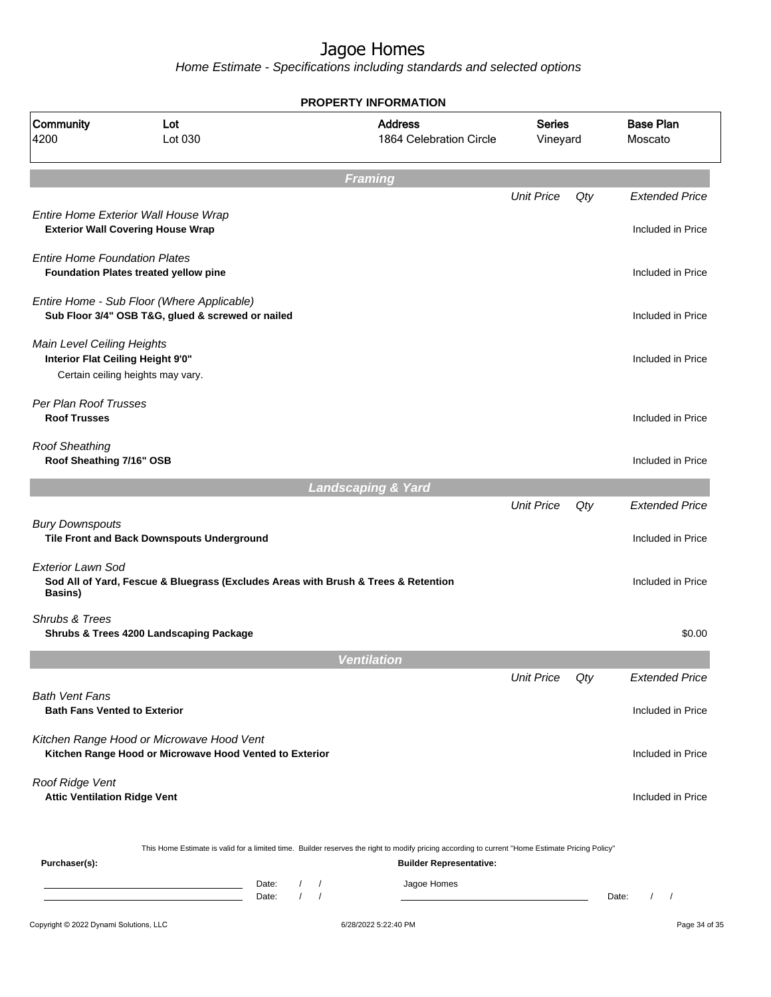Home Estimate - Specifications including standards and selected options

| Community<br>4200                                               | Lot<br>Lot 030                                                                                       | <b>PROPERTY INFORMATION</b><br><b>Address</b><br>1864 Celebration Circle                                                                                                           |                   | <b>Series</b><br>Vineyard | <b>Base Plan</b><br>Moscato                   |
|-----------------------------------------------------------------|------------------------------------------------------------------------------------------------------|------------------------------------------------------------------------------------------------------------------------------------------------------------------------------------|-------------------|---------------------------|-----------------------------------------------|
|                                                                 |                                                                                                      |                                                                                                                                                                                    |                   |                           |                                               |
|                                                                 |                                                                                                      | <b>Framing</b>                                                                                                                                                                     |                   |                           |                                               |
|                                                                 |                                                                                                      |                                                                                                                                                                                    | <b>Unit Price</b> | Qty                       | <b>Extended Price</b>                         |
|                                                                 | Entire Home Exterior Wall House Wrap<br><b>Exterior Wall Covering House Wrap</b>                     |                                                                                                                                                                                    |                   |                           | Included in Price                             |
| <b>Entire Home Foundation Plates</b>                            | Foundation Plates treated yellow pine                                                                |                                                                                                                                                                                    |                   |                           | Included in Price                             |
|                                                                 | Entire Home - Sub Floor (Where Applicable)<br>Sub Floor 3/4" OSB T&G, glued & screwed or nailed      |                                                                                                                                                                                    |                   |                           | Included in Price                             |
| Main Level Ceiling Heights<br>Interior Flat Ceiling Height 9'0" | Certain ceiling heights may vary.                                                                    |                                                                                                                                                                                    |                   |                           | Included in Price                             |
| Per Plan Roof Trusses<br><b>Roof Trusses</b>                    |                                                                                                      |                                                                                                                                                                                    |                   |                           | Included in Price                             |
| <b>Roof Sheathing</b><br>Roof Sheathing 7/16" OSB               |                                                                                                      |                                                                                                                                                                                    |                   |                           | Included in Price                             |
|                                                                 |                                                                                                      | <b>Landscaping &amp; Yard</b>                                                                                                                                                      |                   |                           |                                               |
|                                                                 |                                                                                                      |                                                                                                                                                                                    | <b>Unit Price</b> | Qty                       | <b>Extended Price</b>                         |
| <b>Bury Downspouts</b>                                          | Tile Front and Back Downspouts Underground                                                           |                                                                                                                                                                                    |                   |                           | Included in Price                             |
| <b>Exterior Lawn Sod</b><br><b>Basins</b> )                     | Sod All of Yard, Fescue & Bluegrass (Excludes Areas with Brush & Trees & Retention                   |                                                                                                                                                                                    |                   |                           | Included in Price                             |
| Shrubs & Trees                                                  | Shrubs & Trees 4200 Landscaping Package                                                              |                                                                                                                                                                                    |                   |                           | \$0.00                                        |
|                                                                 |                                                                                                      | <b>Ventilation</b>                                                                                                                                                                 |                   |                           |                                               |
|                                                                 |                                                                                                      |                                                                                                                                                                                    | <b>Unit Price</b> | Qty                       | <b>Extended Price</b>                         |
| <b>Bath Vent Fans</b><br><b>Bath Fans Vented to Exterior</b>    |                                                                                                      |                                                                                                                                                                                    |                   |                           | Included in Price                             |
|                                                                 | Kitchen Range Hood or Microwave Hood Vent<br>Kitchen Range Hood or Microwave Hood Vented to Exterior |                                                                                                                                                                                    |                   | Included in Price         |                                               |
| Roof Ridge Vent<br><b>Attic Ventilation Ridge Vent</b>          |                                                                                                      |                                                                                                                                                                                    |                   |                           | Included in Price                             |
| Purchaser(s):                                                   |                                                                                                      | This Home Estimate is valid for a limited time. Builder reserves the right to modify pricing according to current "Home Estimate Pricing Policy"<br><b>Builder Representative:</b> |                   |                           |                                               |
|                                                                 | Date:<br>the control of the control of the control of the<br>$\prime$<br>Date:                       | Jagoe Homes<br>$\prime$<br>$\prime$                                                                                                                                                |                   |                           | $\prime$<br>Date:<br>$\overline{\phantom{a}}$ |
| Copyright © 2022 Dynami Solutions, LLC                          |                                                                                                      | 6/28/2022 5:22:40 PM                                                                                                                                                               |                   |                           | Page 34 of 35                                 |